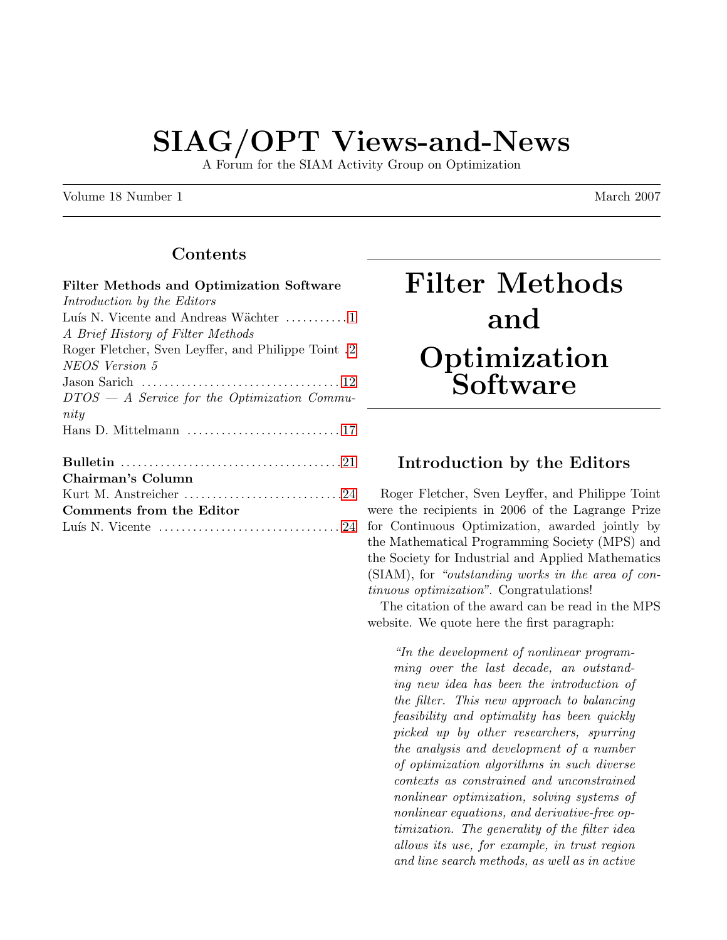# SIAG/OPT Views-and-News

A Forum for the SIAM Activity Group on Optimization

Volume 18 Number 1 March 2007

## Contents

# Filter Methods and **Optimization Software**

## <span id="page-0-0"></span>Introduction by the Editors

Roger Fletcher, Sven Leyffer, and Philippe Toint were the recipients in 2006 of the Lagrange Prize for Continuous Optimization, awarded jointly by the Mathematical Programming Society (MPS) and the Society for Industrial and Applied Mathematics (SIAM), for "outstanding works in the area of continuous optimization". Congratulations!

The citation of the award can be read in the MPS website. We quote here the first paragraph:

"In the development of nonlinear programming over the last decade, an outstanding new idea has been the introduction of the filter. This new approach to balancing feasibility and optimality has been quickly picked up by other researchers, spurring the analysis and development of a number of optimization algorithms in such diverse contexts as constrained and unconstrained nonlinear optimization, solving systems of nonlinear equations, and derivative-free optimization. The generality of the filter idea allows its use, for example, in trust region and line search methods, as well as in active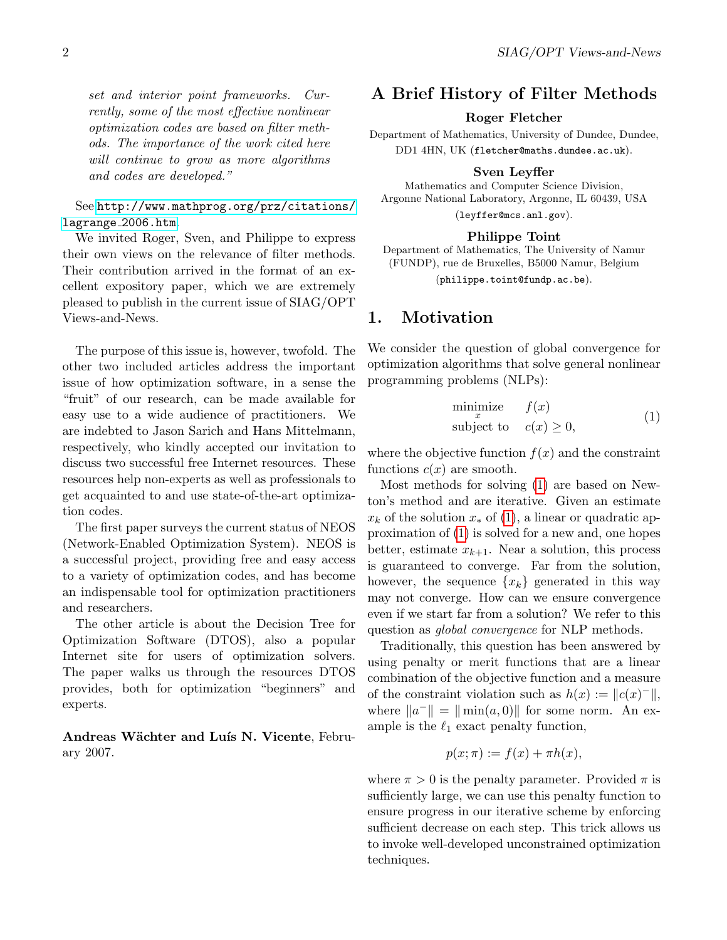See [http://www.mathprog.org/prz/citations/](http://www.mathprog.org/prz/citations/lagrange_2006.htm) [lagrange](http://www.mathprog.org/prz/citations/lagrange_2006.htm) 2006.htm.

We invited Roger, Sven, and Philippe to express their own views on the relevance of filter methods. Their contribution arrived in the format of an excellent expository paper, which we are extremely pleased to publish in the current issue of SIAG/OPT Views-and-News.

The purpose of this issue is, however, twofold. The other two included articles address the important issue of how optimization software, in a sense the "fruit" of our research, can be made available for easy use to a wide audience of practitioners. We are indebted to Jason Sarich and Hans Mittelmann, respectively, who kindly accepted our invitation to discuss two successful free Internet resources. These resources help non-experts as well as professionals to get acquainted to and use state-of-the-art optimization codes.

The first paper surveys the current status of NEOS (Network-Enabled Optimization System). NEOS is a successful project, providing free and easy access to a variety of optimization codes, and has become an indispensable tool for optimization practitioners and researchers.

The other article is about the Decision Tree for Optimization Software (DTOS), also a popular Internet site for users of optimization solvers. The paper walks us through the resources DTOS provides, both for optimization "beginners" and experts.

Andreas Wächter and Luís N. Vicente, February 2007.

## <span id="page-1-0"></span>A Brief History of Filter Methods

#### Roger Fletcher

Department of Mathematics, University of Dundee, Dundee, DD1 4HN, UK (fletcher@maths.dundee.ac.uk).

#### Sven Leyffer

Mathematics and Computer Science Division, Argonne National Laboratory, Argonne, IL 60439, USA (leyffer@mcs.anl.gov).

#### Philippe Toint

Department of Mathematics, The University of Namur (FUNDP), rue de Bruxelles, B5000 Namur, Belgium (philippe.toint@fundp.ac.be).

#### 1. Motivation

We consider the question of global convergence for optimization algorithms that solve general nonlinear programming problems (NLPs):

<span id="page-1-1"></span>
$$
\begin{array}{ll}\text{minimize} & f(x) \\ \text{subject to} & c(x) \ge 0, \end{array} \tag{1}
$$

where the objective function  $f(x)$  and the constraint functions  $c(x)$  are smooth.

Most methods for solving [\(1\)](#page-1-1) are based on Newton's method and are iterative. Given an estimate  $x_k$  of the solution  $x_*$  of [\(1\)](#page-1-1), a linear or quadratic approximation of [\(1\)](#page-1-1) is solved for a new and, one hopes better, estimate  $x_{k+1}$ . Near a solution, this process is guaranteed to converge. Far from the solution, however, the sequence  $\{x_k\}$  generated in this way may not converge. How can we ensure convergence even if we start far from a solution? We refer to this question as global convergence for NLP methods.

Traditionally, this question has been answered by using penalty or merit functions that are a linear combination of the objective function and a measure of the constraint violation such as  $h(x) := ||c(x)^-||,$ where  $||a^{-}|| = ||\min(a, 0)||$  for some norm. An example is the  $\ell_1$  exact penalty function,

$$
p(x; \pi) := f(x) + \pi h(x),
$$

where  $\pi > 0$  is the penalty parameter. Provided  $\pi$  is sufficiently large, we can use this penalty function to ensure progress in our iterative scheme by enforcing sufficient decrease on each step. This trick allows us to invoke well-developed unconstrained optimization techniques.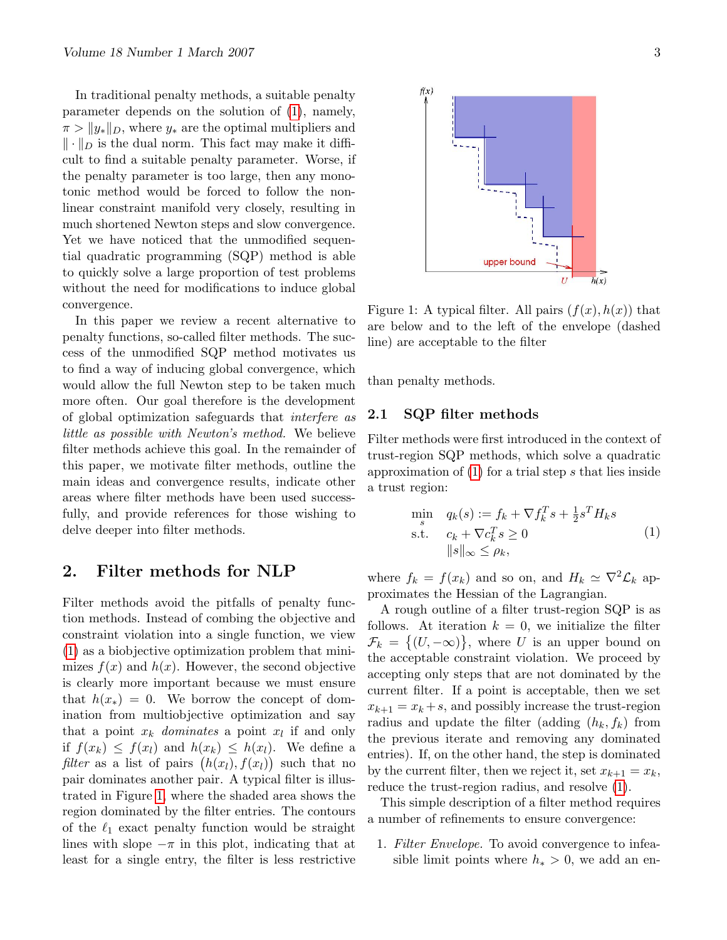In traditional penalty methods, a suitable penalty parameter depends on the solution of [\(1\)](#page-1-1), namely,  $\pi > \|y_*\|_D$ , where  $y_*$  are the optimal multipliers and  $\|\cdot\|_D$  is the dual norm. This fact may make it difficult to find a suitable penalty parameter. Worse, if the penalty parameter is too large, then any monotonic method would be forced to follow the nonlinear constraint manifold very closely, resulting in much shortened Newton steps and slow convergence. Yet we have noticed that the unmodified sequential quadratic programming (SQP) method is able to quickly solve a large proportion of test problems without the need for modifications to induce global convergence.

In this paper we review a recent alternative to penalty functions, so-called filter methods. The success of the unmodified SQP method motivates us to find a way of inducing global convergence, which would allow the full Newton step to be taken much more often. Our goal therefore is the development of global optimization safeguards that interfere as little as possible with Newton's method. We believe filter methods achieve this goal. In the remainder of this paper, we motivate filter methods, outline the main ideas and convergence results, indicate other areas where filter methods have been used successfully, and provide references for those wishing to delve deeper into filter methods.

#### 2. Filter methods for NLP

Filter methods avoid the pitfalls of penalty function methods. Instead of combing the objective and constraint violation into a single function, we view [\(1\)](#page-1-1) as a biobjective optimization problem that minimizes  $f(x)$  and  $h(x)$ . However, the second objective is clearly more important because we must ensure that  $h(x_*) = 0$ . We borrow the concept of domination from multiobjective optimization and say that a point  $x_k$  dominates a point  $x_l$  if and only if  $f(x_k) \leq f(x_l)$  and  $h(x_k) \leq h(x_l)$ . We define a filter as a list of pairs  $(h(x_l), f(x_l))$  such that no pair dominates another pair. A typical filter is illustrated in Figure [1,](#page-2-0) where the shaded area shows the region dominated by the filter entries. The contours of the  $\ell_1$  exact penalty function would be straight lines with slope  $-\pi$  in this plot, indicating that at least for a single entry, the filter is less restrictive



<span id="page-2-0"></span>Figure 1: A typical filter. All pairs  $(f(x), h(x))$  that are below and to the left of the envelope (dashed line) are acceptable to the filter

than penalty methods.

#### 2.1 SQP filter methods

Filter methods were first introduced in the context of trust-region SQP methods, which solve a quadratic approximation of  $(1)$  for a trial step s that lies inside a trust region:

$$
\min_{s} q_k(s) := f_k + \nabla f_k^T s + \frac{1}{2} s^T H_k s
$$
\n
$$
\text{s.t.} \quad c_k + \nabla c_k^T s \ge 0
$$
\n
$$
||s||_{\infty} \le \rho_k,
$$
\n
$$
(1)
$$

where  $f_k = f(x_k)$  and so on, and  $H_k \simeq \nabla^2 \mathcal{L}_k$  approximates the Hessian of the Lagrangian.

A rough outline of a filter trust-region SQP is as follows. At iteration  $k = 0$ , we initialize the filter  $\mathcal{F}_k = \{(U, -\infty)\}\$ , where U is an upper bound on the acceptable constraint violation. We proceed by accepting only steps that are not dominated by the current filter. If a point is acceptable, then we set  $x_{k+1} = x_k + s$ , and possibly increase the trust-region radius and update the filter (adding  $(h_k, f_k)$  from the previous iterate and removing any dominated entries). If, on the other hand, the step is dominated by the current filter, then we reject it, set  $x_{k+1} = x_k$ , reduce the trust-region radius, and resolve [\(1\)](#page-1-1).

This simple description of a filter method requires a number of refinements to ensure convergence:

1. Filter Envelope. To avoid convergence to infeasible limit points where  $h_* > 0$ , we add an en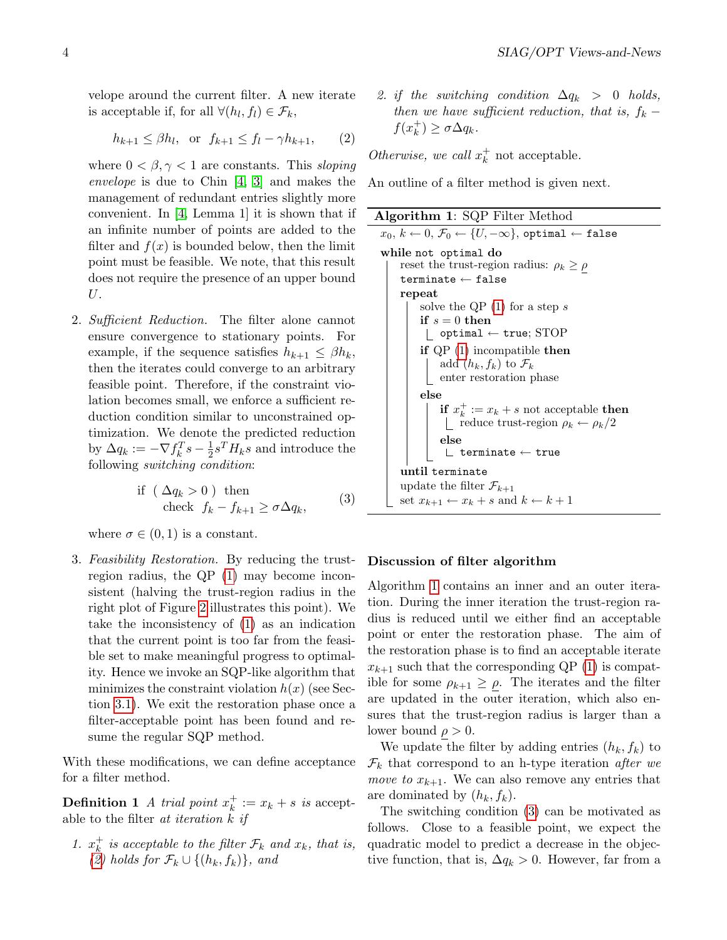velope around the current filter. A new iterate is acceptable if, for all  $\forall (h_l, f_l) \in \mathcal{F}_k$ ,

<span id="page-3-0"></span>
$$
h_{k+1} \le \beta h_l, \quad \text{or} \quad f_{k+1} \le f_l - \gamma h_{k+1}, \qquad (2)
$$

where  $0 < \beta, \gamma < 1$  are constants. This sloping envelope is due to Chin [\[4,](#page-10-0) [3\]](#page-9-0) and makes the management of redundant entries slightly more convenient. In [\[4,](#page-10-0) Lemma 1] it is shown that if an infinite number of points are added to the filter and  $f(x)$  is bounded below, then the limit point must be feasible. We note, that this result does not require the presence of an upper bound U.

2. Sufficient Reduction. The filter alone cannot ensure convergence to stationary points. For example, if the sequence satisfies  $h_{k+1} \leq \beta h_k$ , then the iterates could converge to an arbitrary feasible point. Therefore, if the constraint violation becomes small, we enforce a sufficient reduction condition similar to unconstrained optimization. We denote the predicted reduction by  $\Delta q_k := -\nabla f_k^T s - \frac{1}{2}$  $\frac{1}{2} s^T H_k s$  and introduce the following switching condition:

<span id="page-3-2"></span>if 
$$
(\Delta q_k > 0)
$$
 then  
check  $f_k - f_{k+1} \ge \sigma \Delta q_k$ , (3)

where  $\sigma \in (0,1)$  is a constant.

3. Feasibility Restoration. By reducing the trustregion radius, the QP [\(1\)](#page-1-1) may become inconsistent (halving the trust-region radius in the right plot of Figure [2](#page-4-0) illustrates this point). We take the inconsistency of [\(1\)](#page-1-1) as an indication that the current point is too far from the feasible set to make meaningful progress to optimality. Hence we invoke an SQP-like algorithm that minimizes the constraint violation  $h(x)$  (see Section [3.1\)](#page-7-0). We exit the restoration phase once a filter-acceptable point has been found and resume the regular SQP method.

With these modifications, we can define acceptance for a filter method.

**Definition 1** A trial point  $x_k^+$  $\frac{1}{k} := x_k + s$  is acceptable to the filter at iteration k if

1.  $x_k^+$  $\frac{1}{k}$  is acceptable to the filter  $\mathcal{F}_k$  and  $x_k$ , that is, [\(2\)](#page-3-0) holds for  $\mathcal{F}_k \cup \{(h_k, f_k)\}\$ , and

2. if the switching condition  $\Delta q_k > 0$  holds, then we have sufficient reduction, that is,  $f_k$  –  $f(x_k^+)$  $k^+$ )  $\geq \sigma \Delta q_k$ .

Otherwise, we call  $x_k^+$  $\frac{1}{k}$  not acceptable.

An outline of a filter method is given next.

<span id="page-3-1"></span>

| Algorithm 1: SQP Filter Method                                                             |  |  |
|--------------------------------------------------------------------------------------------|--|--|
| $x_0, k \leftarrow 0, \mathcal{F}_0 \leftarrow \{U, -\infty\},$ optimal $\leftarrow$ false |  |  |
| while not optimal do                                                                       |  |  |
| reset the trust-region radius: $\rho_k \ge \rho$                                           |  |  |
| $\texttt{terminate} \leftarrow \texttt{false}$                                             |  |  |
| repeat                                                                                     |  |  |
| solve the QP $(1)$ for a step s                                                            |  |  |
| if $s=0$ then                                                                              |  |  |
| optimal $\leftarrow$ true; STOP                                                            |  |  |
| if $QP(1)$ incompatible then                                                               |  |  |
| add $(h_k, f_k)$ to $\mathcal{F}_k$                                                        |  |  |
| enter restoration phase                                                                    |  |  |
| else                                                                                       |  |  |
| if $x_k^+ := x_k + s$ not acceptable then                                                  |  |  |
| reduce trust-region $\rho_k \leftarrow \rho_k/2$                                           |  |  |
| else                                                                                       |  |  |
| $\mathrel{\sqsubset}$ terminate $\leftarrow$ true                                          |  |  |
| until terminate                                                                            |  |  |
| update the filter $\mathcal{F}_{k+1}$                                                      |  |  |
| set $x_{k+1} \leftarrow x_k + s$ and $k \leftarrow k+1$                                    |  |  |
|                                                                                            |  |  |

#### Discussion of filter algorithm

Algorithm [1](#page-3-1) contains an inner and an outer iteration. During the inner iteration the trust-region radius is reduced until we either find an acceptable point or enter the restoration phase. The aim of the restoration phase is to find an acceptable iterate  $x_{k+1}$  such that the corresponding QP [\(1\)](#page-1-1) is compatible for some  $\rho_{k+1} \geq \rho$ . The iterates and the filter are updated in the outer iteration, which also ensures that the trust-region radius is larger than a lower bound  $\rho > 0$ .

We update the filter by adding entries  $(h_k, f_k)$  to  $\mathcal{F}_k$  that correspond to an h-type iteration after we move to  $x_{k+1}$ . We can also remove any entries that are dominated by  $(h_k, f_k)$ .

The switching condition [\(3\)](#page-3-2) can be motivated as follows. Close to a feasible point, we expect the quadratic model to predict a decrease in the objective function, that is,  $\Delta q_k > 0$ . However, far from a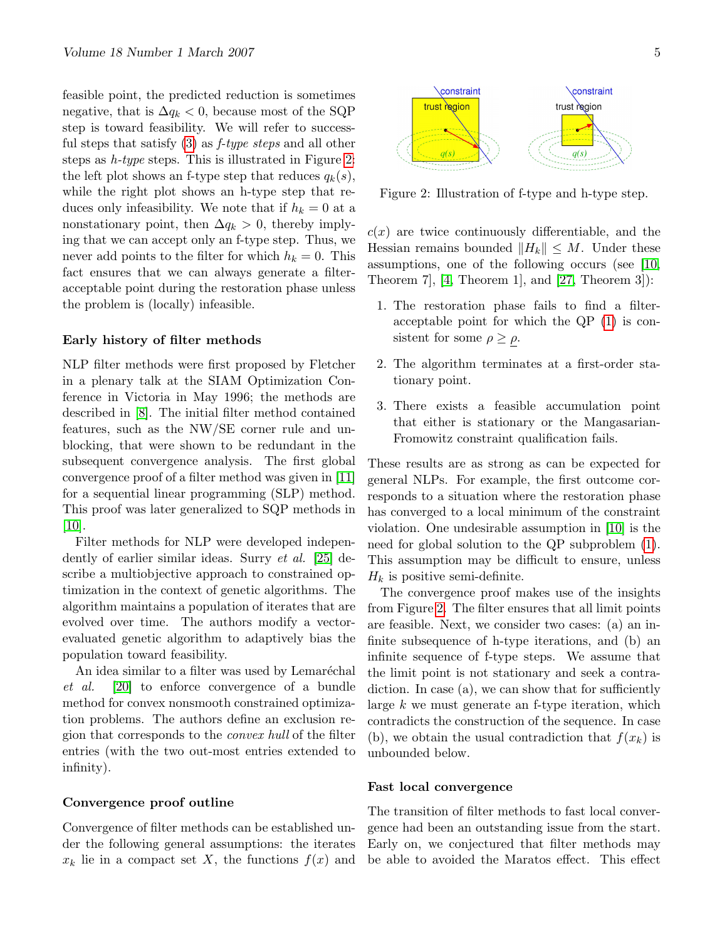feasible point, the predicted reduction is sometimes negative, that is  $\Delta q_k < 0$ , because most of the SQP step is toward feasibility. We will refer to successful steps that satisfy  $(3)$  as *f-type steps* and all other steps as h-type steps. This is illustrated in Figure [2:](#page-4-0) the left plot shows an f-type step that reduces  $q_k(s)$ , while the right plot shows an h-type step that reduces only infeasibility. We note that if  $h_k = 0$  at a nonstationary point, then  $\Delta q_k > 0$ , thereby implying that we can accept only an f-type step. Thus, we never add points to the filter for which  $h_k = 0$ . This fact ensures that we can always generate a filteracceptable point during the restoration phase unless the problem is (locally) infeasible.

#### Early history of filter methods

NLP filter methods were first proposed by Fletcher in a plenary talk at the SIAM Optimization Conference in Victoria in May 1996; the methods are described in [\[8\]](#page-10-1). The initial filter method contained features, such as the NW/SE corner rule and unblocking, that were shown to be redundant in the subsequent convergence analysis. The first global convergence proof of a filter method was given in [\[11\]](#page-10-2) for a sequential linear programming (SLP) method. This proof was later generalized to SQP methods in  $|10|$ .

Filter methods for NLP were developed independently of earlier similar ideas. Surry et al. [\[25\]](#page-10-4) describe a multiobjective approach to constrained optimization in the context of genetic algorithms. The algorithm maintains a population of iterates that are evolved over time. The authors modify a vectorevaluated genetic algorithm to adaptively bias the population toward feasibility.

An idea similar to a filter was used by Lemaréchal et al. [\[20\]](#page-10-5) to enforce convergence of a bundle method for convex nonsmooth constrained optimization problems. The authors define an exclusion region that corresponds to the convex hull of the filter entries (with the two out-most entries extended to infinity).

#### Convergence proof outline

Convergence of filter methods can be established under the following general assumptions: the iterates  $x_k$  lie in a compact set X, the functions  $f(x)$  and



<span id="page-4-0"></span>Figure 2: Illustration of f-type and h-type step.

 $c(x)$  are twice continuously differentiable, and the Hessian remains bounded  $||H_k|| \leq M$ . Under these assumptions, one of the following occurs (see [\[10,](#page-10-3) Theorem 7,  $[4,$  Theorem 1, and  $[27,$  Theorem 3]):

- 1. The restoration phase fails to find a filteracceptable point for which the QP [\(1\)](#page-1-1) is consistent for some  $\rho \geq \rho$ .
- 2. The algorithm terminates at a first-order stationary point.
- 3. There exists a feasible accumulation point that either is stationary or the Mangasarian-Fromowitz constraint qualification fails.

These results are as strong as can be expected for general NLPs. For example, the first outcome corresponds to a situation where the restoration phase has converged to a local minimum of the constraint violation. One undesirable assumption in [\[10\]](#page-10-3) is the need for global solution to the QP subproblem [\(1\)](#page-1-1). This assumption may be difficult to ensure, unless  $H_k$  is positive semi-definite.

The convergence proof makes use of the insights from Figure [2.](#page-4-0) The filter ensures that all limit points are feasible. Next, we consider two cases: (a) an infinite subsequence of h-type iterations, and (b) an infinite sequence of f-type steps. We assume that the limit point is not stationary and seek a contradiction. In case (a), we can show that for sufficiently large  $k$  we must generate an f-type iteration, which contradicts the construction of the sequence. In case (b), we obtain the usual contradiction that  $f(x_k)$  is unbounded below.

#### Fast local convergence

The transition of filter methods to fast local convergence had been an outstanding issue from the start. Early on, we conjectured that filter methods may be able to avoided the Maratos effect. This effect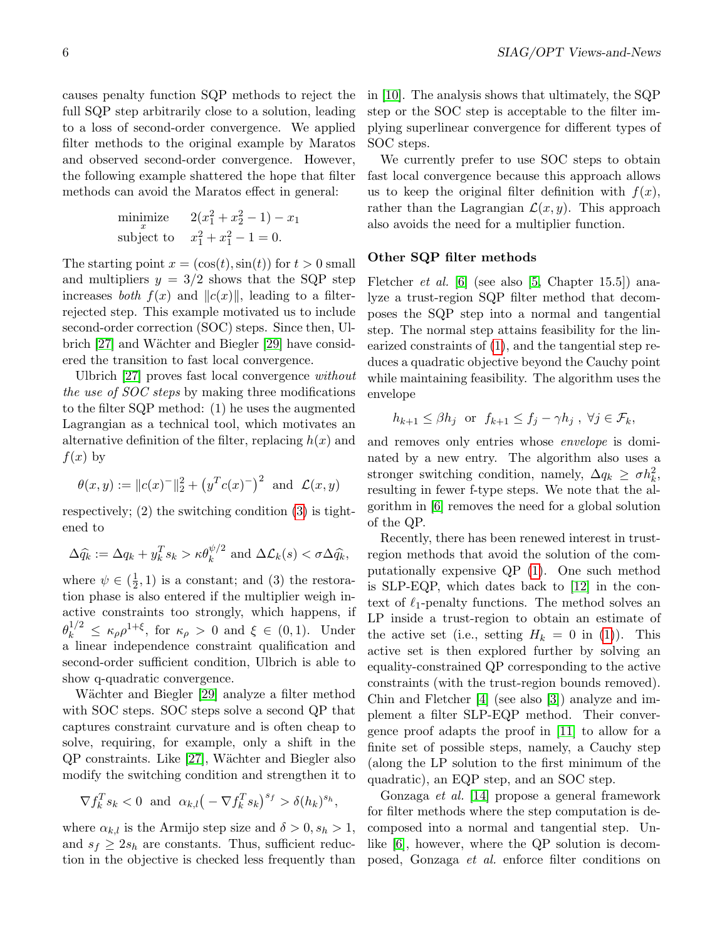causes penalty function SQP methods to reject the full SQP step arbitrarily close to a solution, leading to a loss of second-order convergence. We applied filter methods to the original example by Maratos and observed second-order convergence. However, the following example shattered the hope that filter methods can avoid the Maratos effect in general:

minimize 
$$
2(x_1^2 + x_2^2 - 1) - x_1
$$
  
subject to  $x_1^2 + x_1^2 - 1 = 0$ .

The starting point  $x = (\cos(t), \sin(t))$  for  $t > 0$  small and multipliers  $y = 3/2$  shows that the SQP step increases *both*  $f(x)$  and  $||c(x)||$ , leading to a filterrejected step. This example motivated us to include second-order correction (SOC) steps. Since then, Ul-brich [\[27\]](#page-10-6) and Wächter and Biegler [\[29\]](#page-11-1) have considered the transition to fast local convergence.

Ulbrich [\[27\]](#page-10-6) proves fast local convergence without the use of SOC steps by making three modifications to the filter SQP method: (1) he uses the augmented Lagrangian as a technical tool, which motivates an alternative definition of the filter, replacing  $h(x)$  and  $f(x)$  by

$$
\theta(x, y) := ||c(x)^{-}||_2^2 + (y^T c(x)^{-})^2
$$
 and  $\mathcal{L}(x, y)$ 

respectively; (2) the switching condition [\(3\)](#page-3-2) is tightened to

$$
\Delta \widehat{q_k} := \Delta q_k + y_k^T s_k > \kappa \theta_k^{\psi/2} \text{ and } \Delta \mathcal{L}_k(s) < \sigma \Delta \widehat{q_k},
$$

where  $\psi \in \left(\frac{1}{2}\right)$  $(\frac{1}{2}, 1)$  is a constant; and (3) the restoration phase is also entered if the multiplier weigh inactive constraints too strongly, which happens, if  $\theta_k^{1/2} \leq \kappa_\rho \rho^{1+\xi}$ , for  $\kappa_\rho > 0$  and  $\xi \in (0,1)$ . Under a linear independence constraint qualification and second-order sufficient condition, Ulbrich is able to show q-quadratic convergence.

Wächter and Biegler [\[29\]](#page-11-1) analyze a filter method with SOC steps. SOC steps solve a second QP that captures constraint curvature and is often cheap to solve, requiring, for example, only a shift in the QP constraints. Like [\[27\]](#page-10-6), W¨achter and Biegler also modify the switching condition and strengthen it to

$$
\nabla f_k^T s_k < 0 \text{ and } \alpha_{k,l} \big( -\nabla f_k^T s_k \big)^{s_f} > \delta (h_k)^{s_h},
$$

where  $\alpha_{k,l}$  is the Armijo step size and  $\delta > 0, s_h > 1$ , and  $s_f \geq 2s_h$  are constants. Thus, sufficient reduction in the objective is checked less frequently than

in [\[10\]](#page-10-3). The analysis shows that ultimately, the SQP step or the SOC step is acceptable to the filter implying superlinear convergence for different types of SOC steps.

We currently prefer to use SOC steps to obtain fast local convergence because this approach allows us to keep the original filter definition with  $f(x)$ , rather than the Lagrangian  $\mathcal{L}(x, y)$ . This approach also avoids the need for a multiplier function.

#### Other SQP filter methods

Fletcher *et al.* [\[6\]](#page-10-7) (see also [\[5,](#page-10-8) Chapter 15.5]) analyze a trust-region SQP filter method that decomposes the SQP step into a normal and tangential step. The normal step attains feasibility for the linearized constraints of [\(1\)](#page-1-1), and the tangential step reduces a quadratic objective beyond the Cauchy point while maintaining feasibility. The algorithm uses the envelope

$$
h_{k+1} \leq \beta h_j
$$
 or  $f_{k+1} \leq f_j - \gamma h_j$ ,  $\forall j \in \mathcal{F}_k$ ,

and removes only entries whose envelope is dominated by a new entry. The algorithm also uses a stronger switching condition, namely,  $\Delta q_k \geq \sigma h_k^2$ , resulting in fewer f-type steps. We note that the algorithm in [\[6\]](#page-10-7) removes the need for a global solution of the QP.

Recently, there has been renewed interest in trustregion methods that avoid the solution of the computationally expensive QP [\(1\)](#page-1-1). One such method is SLP-EQP, which dates back to [\[12\]](#page-10-9) in the context of  $\ell_1$ -penalty functions. The method solves an LP inside a trust-region to obtain an estimate of the active set (i.e., setting  $H_k = 0$  in [\(1\)](#page-1-1)). This active set is then explored further by solving an equality-constrained QP corresponding to the active constraints (with the trust-region bounds removed). Chin and Fletcher [\[4\]](#page-10-0) (see also [\[3\]](#page-9-0)) analyze and implement a filter SLP-EQP method. Their convergence proof adapts the proof in [\[11\]](#page-10-2) to allow for a finite set of possible steps, namely, a Cauchy step (along the LP solution to the first minimum of the quadratic), an EQP step, and an SOC step.

Gonzaga et al. [\[14\]](#page-10-10) propose a general framework for filter methods where the step computation is decomposed into a normal and tangential step. Unlike [\[6\]](#page-10-7), however, where the QP solution is decomposed, Gonzaga et al. enforce filter conditions on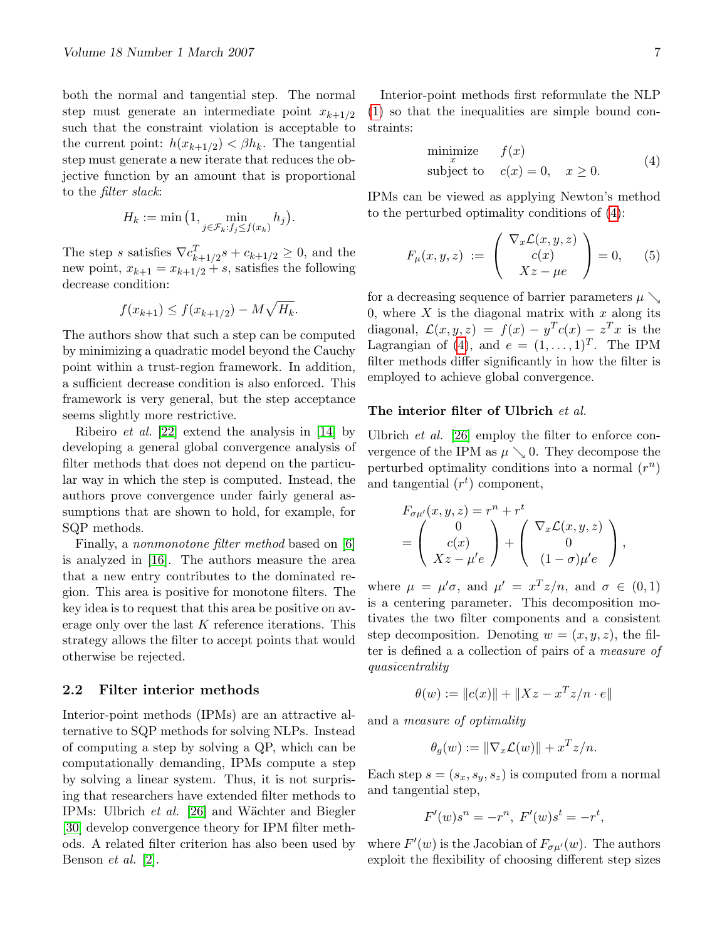both the normal and tangential step. The normal step must generate an intermediate point  $x_{k+1/2}$ such that the constraint violation is acceptable to the current point:  $h(x_{k+1/2}) < \beta h_k$ . The tangential step must generate a new iterate that reduces the objective function by an amount that is proportional to the filter slack:

$$
H_k := \min\big(1, \min_{j \in \mathcal{F}_k: f_j \le f(x_k)} h_j\big).
$$

The step s satisfies  $\nabla c_{k+1/2}^T s + c_{k+1/2} \geq 0$ , and the new point,  $x_{k+1} = x_{k+1/2} + s$ , satisfies the following decrease condition:

$$
f(x_{k+1}) \le f(x_{k+1/2}) - M\sqrt{H_k}.
$$

The authors show that such a step can be computed by minimizing a quadratic model beyond the Cauchy point within a trust-region framework. In addition, a sufficient decrease condition is also enforced. This framework is very general, but the step acceptance seems slightly more restrictive.

Ribeiro et al. [\[22\]](#page-10-11) extend the analysis in [\[14\]](#page-10-10) by developing a general global convergence analysis of filter methods that does not depend on the particular way in which the step is computed. Instead, the authors prove convergence under fairly general assumptions that are shown to hold, for example, for SQP methods.

Finally, a *nonmonotone* filter method based on [\[6\]](#page-10-7) is analyzed in [\[16\]](#page-10-12). The authors measure the area that a new entry contributes to the dominated region. This area is positive for monotone filters. The key idea is to request that this area be positive on average only over the last K reference iterations. This strategy allows the filter to accept points that would otherwise be rejected.

#### 2.2 Filter interior methods

Interior-point methods (IPMs) are an attractive alternative to SQP methods for solving NLPs. Instead of computing a step by solving a QP, which can be computationally demanding, IPMs compute a step by solving a linear system. Thus, it is not surprising that researchers have extended filter methods to IPMs: Ulbrich et al. [\[26\]](#page-10-13) and W¨achter and Biegler [\[30\]](#page-11-2) develop convergence theory for IPM filter methods. A related filter criterion has also been used by Benson et al. [\[2\]](#page-9-1).

Interior-point methods first reformulate the NLP [\(1\)](#page-1-1) so that the inequalities are simple bound constraints:

<span id="page-6-0"></span>
$$
\begin{array}{ll}\text{minimize} & f(x) \\ \text{subject to} & c(x) = 0, \quad x \ge 0. \end{array} \tag{4}
$$

IPMs can be viewed as applying Newton's method to the perturbed optimality conditions of [\(4\)](#page-6-0):

<span id="page-6-1"></span>
$$
F_{\mu}(x, y, z) := \begin{pmatrix} \nabla_x \mathcal{L}(x, y, z) \\ c(x) \\ Xz - \mu e \end{pmatrix} = 0, \quad (5)
$$

for a decreasing sequence of barrier parameters  $\mu \searrow$ 0, where  $X$  is the diagonal matrix with  $x$  along its diagonal,  $\mathcal{L}(x, y, z) = f(x) - y^T c(x) - z^T x$  is the Lagrangian of [\(4\)](#page-6-0), and  $e = (1, \ldots, 1)^T$ . The IPM filter methods differ significantly in how the filter is employed to achieve global convergence.

#### The interior filter of Ulbrich et al.

Ulbrich et al. [\[26\]](#page-10-13) employ the filter to enforce convergence of the IPM as  $\mu \setminus 0$ . They decompose the perturbed optimality conditions into a normal  $(r^n)$ and tangential  $(r^t)$  component,

$$
F_{\sigma\mu'}(x, y, z) = r^n + r^t
$$
  
= 
$$
\begin{pmatrix} 0 \\ c(x) \\ Xz - \mu'e \end{pmatrix} + \begin{pmatrix} \nabla_x \mathcal{L}(x, y, z) \\ 0 \\ (1 - \sigma)\mu'e \end{pmatrix},
$$

where  $\mu = \mu' \sigma$ , and  $\mu' = x^T z/n$ , and  $\sigma \in (0,1)$ is a centering parameter. This decomposition motivates the two filter components and a consistent step decomposition. Denoting  $w = (x, y, z)$ , the filter is defined a a collection of pairs of a measure of quasicentrality

$$
\theta(w) := \|c(x)\| + \|Xz - x^T z/n \cdot e\|
$$

and a measure of optimality

$$
\theta_g(w) := \|\nabla_x \mathcal{L}(w)\| + x^T z/n.
$$

Each step  $s = (s_x, s_y, s_z)$  is computed from a normal and tangential step,

$$
F'(w)s^{n} = -r^{n}, F'(w)s^{t} = -r^{t},
$$

where  $F'(w)$  is the Jacobian of  $F_{\sigma\mu'}(w)$ . The authors exploit the flexibility of choosing different step sizes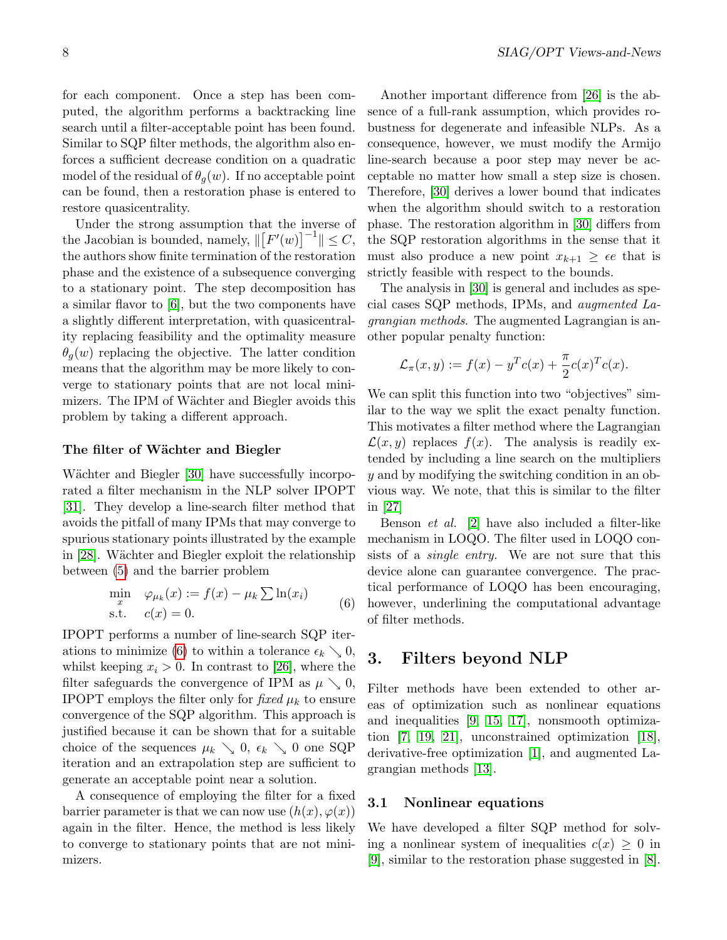for each component. Once a step has been computed, the algorithm performs a backtracking line search until a filter-acceptable point has been found. Similar to SQP filter methods, the algorithm also enforces a sufficient decrease condition on a quadratic model of the residual of  $\theta_q(w)$ . If no acceptable point can be found, then a restoration phase is entered to restore quasicentrality.

Under the strong assumption that the inverse of the Jacobian is bounded, namely,  $\| [F'(w)]^{-1} \| \leq C$ , the authors show finite termination of the restoration phase and the existence of a subsequence converging to a stationary point. The step decomposition has a similar flavor to [\[6\]](#page-10-7), but the two components have a slightly different interpretation, with quasicentrality replacing feasibility and the optimality measure  $\theta_{q}(w)$  replacing the objective. The latter condition means that the algorithm may be more likely to converge to stationary points that are not local minimizers. The IPM of Wächter and Biegler avoids this problem by taking a different approach.

#### The filter of Wächter and Biegler

Wächter and Biegler [\[30\]](#page-11-2) have successfully incorporated a filter mechanism in the NLP solver IPOPT [\[31\]](#page-11-3). They develop a line-search filter method that avoids the pitfall of many IPMs that may converge to spurious stationary points illustrated by the example in [\[28\]](#page-10-14). Wächter and Biegler exploit the relationship between [\(5\)](#page-6-1) and the barrier problem

<span id="page-7-1"></span>
$$
\min_{x} \quad \varphi_{\mu_k}(x) := f(x) - \mu_k \sum \ln(x_i)
$$
\n
$$
\text{s.t.} \quad c(x) = 0. \tag{6}
$$

IPOPT performs a number of line-search SQP iter-ations to minimize [\(6\)](#page-7-1) to within a tolerance  $\epsilon_k \searrow 0$ , whilst keeping  $x_i > 0$ . In contrast to [\[26\]](#page-10-13), where the filter safeguards the convergence of IPM as  $\mu \searrow 0$ , IPOPT employs the filter only for fixed  $\mu_k$  to ensure convergence of the SQP algorithm. This approach is justified because it can be shown that for a suitable choice of the sequences  $\mu_k \searrow 0$ ,  $\epsilon_k \searrow 0$  one SQP iteration and an extrapolation step are sufficient to generate an acceptable point near a solution.

A consequence of employing the filter for a fixed barrier parameter is that we can now use  $(h(x), \varphi(x))$ again in the filter. Hence, the method is less likely to converge to stationary points that are not minimizers.

Another important difference from [\[26\]](#page-10-13) is the absence of a full-rank assumption, which provides robustness for degenerate and infeasible NLPs. As a consequence, however, we must modify the Armijo line-search because a poor step may never be acceptable no matter how small a step size is chosen. Therefore, [\[30\]](#page-11-2) derives a lower bound that indicates when the algorithm should switch to a restoration phase. The restoration algorithm in [\[30\]](#page-11-2) differs from the SQP restoration algorithms in the sense that it must also produce a new point  $x_{k+1} \geq \epsilon e$  that is strictly feasible with respect to the bounds.

The analysis in [\[30\]](#page-11-2) is general and includes as special cases SQP methods, IPMs, and augmented Lagrangian methods. The augmented Lagrangian is another popular penalty function:

$$
\mathcal{L}_{\pi}(x,y) := f(x) - y^T c(x) + \frac{\pi}{2} c(x)^T c(x).
$$

We can split this function into two "objectives" similar to the way we split the exact penalty function. This motivates a filter method where the Lagrangian  $\mathcal{L}(x, y)$  replaces  $f(x)$ . The analysis is readily extended by including a line search on the multipliers y and by modifying the switching condition in an obvious way. We note, that this is similar to the filter in [\[27\]](#page-10-6)

Benson et al. [\[2\]](#page-9-1) have also included a filter-like mechanism in LOQO. The filter used in LOQO consists of a *single entry*. We are not sure that this device alone can guarantee convergence. The practical performance of LOQO has been encouraging, however, underlining the computational advantage of filter methods.

## <span id="page-7-2"></span>3. Filters beyond NLP

Filter methods have been extended to other areas of optimization such as nonlinear equations and inequalities [\[9,](#page-10-15) [15,](#page-10-16) [17\]](#page-10-17), nonsmooth optimization [\[7,](#page-10-18) [19,](#page-10-19) [21\]](#page-10-20), unconstrained optimization [\[18\]](#page-10-21), derivative-free optimization [\[1\]](#page-9-2), and augmented Lagrangian methods [\[13\]](#page-10-22).

#### <span id="page-7-0"></span>3.1 Nonlinear equations

We have developed a filter SQP method for solving a nonlinear system of inequalities  $c(x) \geq 0$  in [\[9\]](#page-10-15), similar to the restoration phase suggested in [\[8\]](#page-10-1).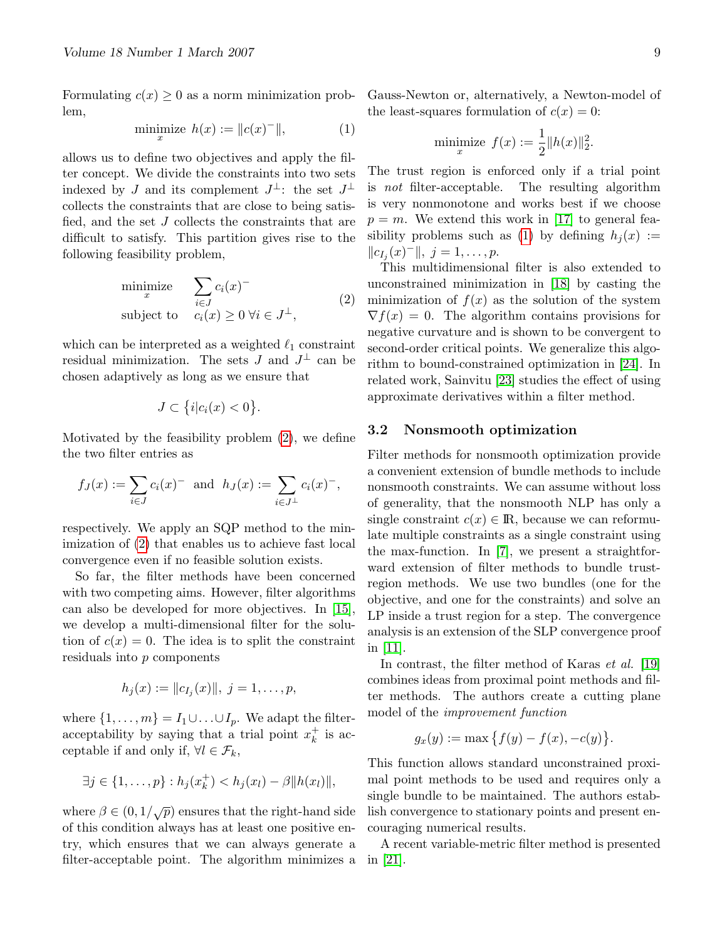Formulating  $c(x) \geq 0$  as a norm minimization problem,

$$
\underset{x}{\text{minimize}} \quad h(x) := \|c(x)^{-}\|,\tag{1}
$$

allows us to define two objectives and apply the filter concept. We divide the constraints into two sets indexed by J and its complement  $J^{\perp}$ : the set  $J^{\perp}$ collects the constraints that are close to being satisfied, and the set J collects the constraints that are difficult to satisfy. This partition gives rise to the following feasibility problem,

<span id="page-8-0"></span>
$$
\begin{array}{ll}\text{minimize} & \sum_{i \in J} c_i(x)^-\\ \text{subject to} & c_i(x) \ge 0 \ \forall i \in J^\perp,\end{array} \tag{2}
$$

which can be interpreted as a weighted  $\ell_1$  constraint residual minimization. The sets  $J$  and  $J^{\perp}$  can be chosen adaptively as long as we ensure that

$$
J \subset \{i|c_i(x) < 0\}.
$$

Motivated by the feasibility problem [\(2\)](#page-8-0), we define the two filter entries as

$$
f_J(x) := \sum_{i \in J} c_i(x)^{-} \text{ and } h_J(x) := \sum_{i \in J^{\perp}} c_i(x)^{-},
$$

respectively. We apply an SQP method to the minimization of [\(2\)](#page-8-0) that enables us to achieve fast local convergence even if no feasible solution exists.

So far, the filter methods have been concerned with two competing aims. However, filter algorithms can also be developed for more objectives. In [\[15\]](#page-10-16), we develop a multi-dimensional filter for the solution of  $c(x) = 0$ . The idea is to split the constraint residuals into p components

$$
h_j(x) := ||c_{I_j}(x)||, \ j = 1, \ldots, p,
$$

where  $\{1, \ldots, m\} = I_1 \cup \ldots \cup I_p$ . We adapt the filteracceptability by saying that a trial point  $x_k^+$  $\frac{+}{k}$  is acceptable if and only if,  $\forall l \in \mathcal{F}_k$ ,

$$
\exists j \in \{1, ..., p\} : h_j(x_k^+) < h_j(x_l) - \beta \|h(x_l)\|,
$$

where  $\beta \in (0, 1/\sqrt{p})$  ensures that the right-hand side of this condition always has at least one positive entry, which ensures that we can always generate a filter-acceptable point. The algorithm minimizes a Gauss-Newton or, alternatively, a Newton-model of the least-squares formulation of  $c(x) = 0$ :

minimize 
$$
f(x) := \frac{1}{2} ||h(x)||_2^2
$$
.

The trust region is enforced only if a trial point is not filter-acceptable. The resulting algorithm is very nonmonotone and works best if we choose  $p = m$ . We extend this work in [\[17\]](#page-10-17) to general fea-sibility problems such as [\(1\)](#page-1-1) by defining  $h_i(x) :=$  $||c_{I_j}(x)^-||, j = 1, \ldots, p.$ 

This multidimensional filter is also extended to unconstrained minimization in [\[18\]](#page-10-21) by casting the minimization of  $f(x)$  as the solution of the system  $\nabla f(x) = 0$ . The algorithm contains provisions for negative curvature and is shown to be convergent to second-order critical points. We generalize this algorithm to bound-constrained optimization in [\[24\]](#page-10-23). In related work, Sainvitu [\[23\]](#page-10-24) studies the effect of using approximate derivatives within a filter method.

#### 3.2 Nonsmooth optimization

Filter methods for nonsmooth optimization provide a convenient extension of bundle methods to include nonsmooth constraints. We can assume without loss of generality, that the nonsmooth NLP has only a single constraint  $c(x) \in \mathbb{R}$ , because we can reformulate multiple constraints as a single constraint using the max-function. In [\[7\]](#page-10-18), we present a straightforward extension of filter methods to bundle trustregion methods. We use two bundles (one for the objective, and one for the constraints) and solve an LP inside a trust region for a step. The convergence analysis is an extension of the SLP convergence proof in [\[11\]](#page-10-2).

In contrast, the filter method of Karas et al. [\[19\]](#page-10-19) combines ideas from proximal point methods and filter methods. The authors create a cutting plane model of the improvement function

$$
g_x(y) := \max \{ f(y) - f(x), -c(y) \}.
$$

This function allows standard unconstrained proximal point methods to be used and requires only a single bundle to be maintained. The authors establish convergence to stationary points and present encouraging numerical results.

A recent variable-metric filter method is presented in [\[21\]](#page-10-20).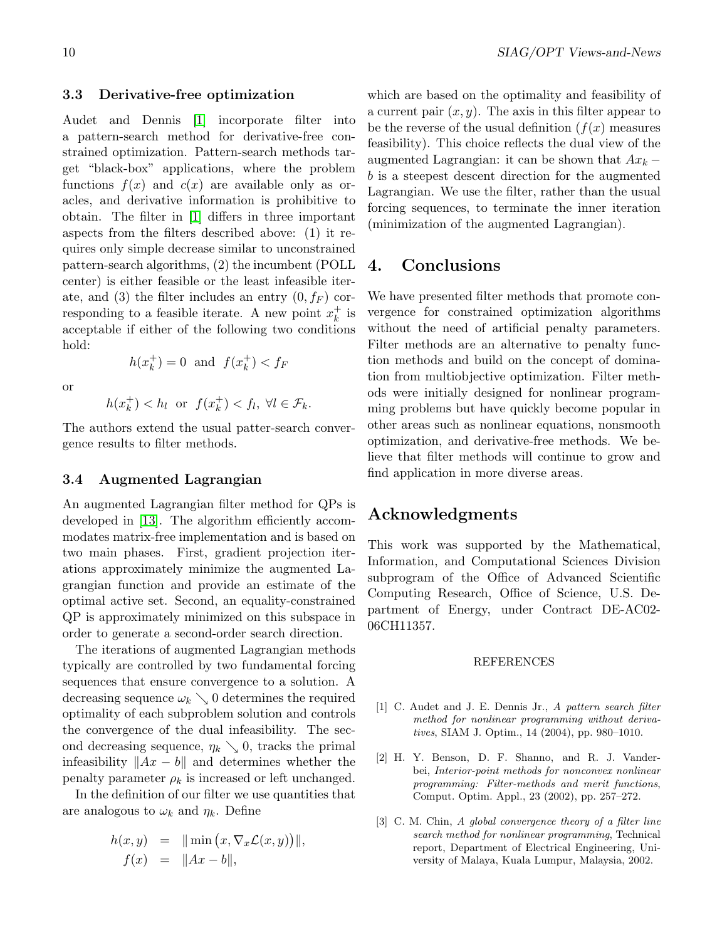#### 3.3 Derivative-free optimization

Audet and Dennis [\[1\]](#page-9-2) incorporate filter into a pattern-search method for derivative-free constrained optimization. Pattern-search methods target "black-box" applications, where the problem functions  $f(x)$  and  $c(x)$  are available only as oracles, and derivative information is prohibitive to obtain. The filter in [\[1\]](#page-9-2) differs in three important aspects from the filters described above: (1) it requires only simple decrease similar to unconstrained pattern-search algorithms, (2) the incumbent (POLL center) is either feasible or the least infeasible iterate, and (3) the filter includes an entry  $(0, f_F)$  corresponding to a feasible iterate. A new point  $x_k^+$  $_k^+$  is acceptable if either of the following two conditions hold:  $h(x_k^+$  $f_k^+$ ) = 0 and  $f(x_k^+)$ 

or

$$
h(x_k^+) < h_l \quad \text{or} \quad f(x_k^+) < f_l, \ \forall l \in \mathcal{F}_k.
$$

 $\binom{+}{k} < f_F$ 

The authors extend the usual patter-search convergence results to filter methods.

#### 3.4 Augmented Lagrangian

An augmented Lagrangian filter method for QPs is developed in [\[13\]](#page-10-22). The algorithm efficiently accommodates matrix-free implementation and is based on two main phases. First, gradient projection iterations approximately minimize the augmented Lagrangian function and provide an estimate of the optimal active set. Second, an equality-constrained QP is approximately minimized on this subspace in order to generate a second-order search direction.

The iterations of augmented Lagrangian methods typically are controlled by two fundamental forcing sequences that ensure convergence to a solution. A decreasing sequence  $\omega_k \searrow 0$  determines the required optimality of each subproblem solution and controls the convergence of the dual infeasibility. The second decreasing sequence,  $\eta_k \searrow 0$ , tracks the primal infeasibility  $||Ax - b||$  and determines whether the penalty parameter  $\rho_k$  is increased or left unchanged.

In the definition of our filter we use quantities that are analogous to  $\omega_k$  and  $\eta_k$ . Define

$$
h(x, y) = \|\min(x, \nabla_x \mathcal{L}(x, y))\|,
$$
  

$$
f(x) = \|Ax - b\|,
$$

which are based on the optimality and feasibility of a current pair  $(x, y)$ . The axis in this filter appear to be the reverse of the usual definition  $(f(x))$  measures feasibility). This choice reflects the dual view of the augmented Lagrangian: it can be shown that  $Ax_k$ b is a steepest descent direction for the augmented Lagrangian. We use the filter, rather than the usual forcing sequences, to terminate the inner iteration (minimization of the augmented Lagrangian).

## 4. Conclusions

We have presented filter methods that promote convergence for constrained optimization algorithms without the need of artificial penalty parameters. Filter methods are an alternative to penalty function methods and build on the concept of domination from multiobjective optimization. Filter methods were initially designed for nonlinear programming problems but have quickly become popular in other areas such as nonlinear equations, nonsmooth optimization, and derivative-free methods. We believe that filter methods will continue to grow and find application in more diverse areas.

## Acknowledgments

This work was supported by the Mathematical, Information, and Computational Sciences Division subprogram of the Office of Advanced Scientific Computing Research, Office of Science, U.S. Department of Energy, under Contract DE-AC02- 06CH11357.

#### REFERENCES

- <span id="page-9-2"></span>[1] C. Audet and J. E. Dennis Jr., A pattern search filter method for nonlinear programming without derivatives, SIAM J. Optim., 14 (2004), pp. 980–1010.
- <span id="page-9-1"></span>[2] H. Y. Benson, D. F. Shanno, and R. J. Vanderbei, Interior-point methods for nonconvex nonlinear programming: Filter-methods and merit functions, Comput. Optim. Appl., 23 (2002), pp. 257–272.
- <span id="page-9-0"></span>[3] C. M. Chin, A global convergence theory of a filter line search method for nonlinear programming, Technical report, Department of Electrical Engineering, University of Malaya, Kuala Lumpur, Malaysia, 2002.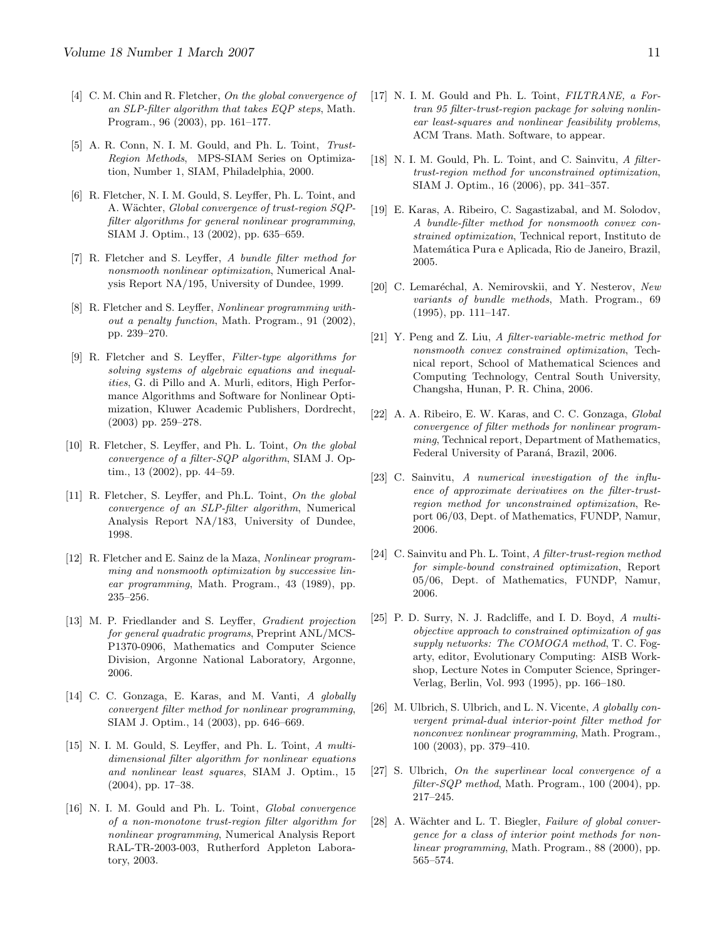- <span id="page-10-0"></span>[4] C. M. Chin and R. Fletcher, On the global convergence of an SLP-filter algorithm that takes EQP steps, Math. Program., 96 (2003), pp. 161–177.
- <span id="page-10-8"></span>[5] A. R. Conn, N. I. M. Gould, and Ph. L. Toint, Trust-Region Methods, MPS-SIAM Series on Optimization, Number 1, SIAM, Philadelphia, 2000.
- <span id="page-10-7"></span>[6] R. Fletcher, N. I. M. Gould, S. Leyffer, Ph. L. Toint, and A. Wächter, Global convergence of trust-region SQPfilter algorithms for general nonlinear programming, SIAM J. Optim., 13 (2002), pp. 635–659.
- <span id="page-10-18"></span>[7] R. Fletcher and S. Leyffer, A bundle filter method for nonsmooth nonlinear optimization, Numerical Analysis Report NA/195, University of Dundee, 1999.
- <span id="page-10-1"></span>[8] R. Fletcher and S. Leyffer, Nonlinear programming without a penalty function, Math. Program., 91 (2002), pp. 239–270.
- <span id="page-10-15"></span>[9] R. Fletcher and S. Leyffer, Filter-type algorithms for solving systems of algebraic equations and inequalities, G. di Pillo and A. Murli, editors, High Performance Algorithms and Software for Nonlinear Optimization, Kluwer Academic Publishers, Dordrecht, (2003) pp. 259–278.
- <span id="page-10-3"></span>[10] R. Fletcher, S. Leyffer, and Ph. L. Toint, On the global convergence of a filter-SQP algorithm, SIAM J. Optim., 13 (2002), pp. 44–59.
- <span id="page-10-2"></span>[11] R. Fletcher, S. Leyffer, and Ph.L. Toint, On the global convergence of an SLP-filter algorithm, Numerical Analysis Report NA/183, University of Dundee, 1998.
- <span id="page-10-9"></span>[12] R. Fletcher and E. Sainz de la Maza, Nonlinear programming and nonsmooth optimization by successive linear programming, Math. Program., 43 (1989), pp. 235–256.
- <span id="page-10-22"></span>[13] M. P. Friedlander and S. Leyffer, Gradient projection for general quadratic programs, Preprint ANL/MCS-P1370-0906, Mathematics and Computer Science Division, Argonne National Laboratory, Argonne, 2006.
- <span id="page-10-10"></span>[14] C. C. Gonzaga, E. Karas, and M. Vanti, A globally convergent filter method for nonlinear programming, SIAM J. Optim., 14 (2003), pp. 646–669.
- <span id="page-10-16"></span>[15] N. I. M. Gould, S. Leyffer, and Ph. L. Toint, A multidimensional filter algorithm for nonlinear equations and nonlinear least squares, SIAM J. Optim., 15 (2004), pp. 17–38.
- <span id="page-10-12"></span>[16] N. I. M. Gould and Ph. L. Toint, *Global convergence* of a non-monotone trust-region filter algorithm for nonlinear programming, Numerical Analysis Report RAL-TR-2003-003, Rutherford Appleton Laboratory, 2003.
- <span id="page-10-17"></span>[17] N. I. M. Gould and Ph. L. Toint, FILTRANE, a Fortran 95 filter-trust-region package for solving nonlinear least-squares and nonlinear feasibility problems, ACM Trans. Math. Software, to appear.
- <span id="page-10-21"></span>[18] N. I. M. Gould, Ph. L. Toint, and C. Sainvitu, A filtertrust-region method for unconstrained optimization, SIAM J. Optim., 16 (2006), pp. 341–357.
- <span id="page-10-19"></span>[19] E. Karas, A. Ribeiro, C. Sagastizabal, and M. Solodov, A bundle-filter method for nonsmooth convex constrained optimization, Technical report, Instituto de Matemática Pura e Aplicada, Rio de Janeiro, Brazil, 2005.
- <span id="page-10-5"></span>[20] C. Lemaréchal, A. Nemirovskii, and Y. Nesterov, New variants of bundle methods, Math. Program., 69 (1995), pp. 111–147.
- <span id="page-10-20"></span>[21] Y. Peng and Z. Liu, A filter-variable-metric method for nonsmooth convex constrained optimization, Technical report, School of Mathematical Sciences and Computing Technology, Central South University, Changsha, Hunan, P. R. China, 2006.
- <span id="page-10-11"></span>[22] A. A. Ribeiro, E. W. Karas, and C. C. Gonzaga, Global convergence of filter methods for nonlinear programming, Technical report, Department of Mathematics, Federal University of Paraná, Brazil, 2006.
- <span id="page-10-24"></span>[23] C. Sainvitu, A numerical investigation of the influence of approximate derivatives on the filter-trustregion method for unconstrained optimization, Report 06/03, Dept. of Mathematics, FUNDP, Namur, 2006.
- <span id="page-10-23"></span>[24] C. Sainvitu and Ph. L. Toint, A filter-trust-region method for simple-bound constrained optimization, Report 05/06, Dept. of Mathematics, FUNDP, Namur, 2006.
- <span id="page-10-4"></span>[25] P. D. Surry, N. J. Radcliffe, and I. D. Boyd, A multiobjective approach to constrained optimization of gas supply networks: The COMOGA method, T. C. Fogarty, editor, Evolutionary Computing: AISB Workshop, Lecture Notes in Computer Science, Springer-Verlag, Berlin, Vol. 993 (1995), pp. 166–180.
- <span id="page-10-13"></span>[26] M. Ulbrich, S. Ulbrich, and L. N. Vicente, A globally convergent primal-dual interior-point filter method for nonconvex nonlinear programming, Math. Program., 100 (2003), pp. 379–410.
- <span id="page-10-6"></span>[27] S. Ulbrich, On the superlinear local convergence of a filter-SQP method, Math. Program., 100 (2004), pp. 217–245.
- <span id="page-10-14"></span>[28] A. Wächter and L. T. Biegler, Failure of global convergence for a class of interior point methods for nonlinear programming, Math. Program., 88 (2000), pp. 565–574.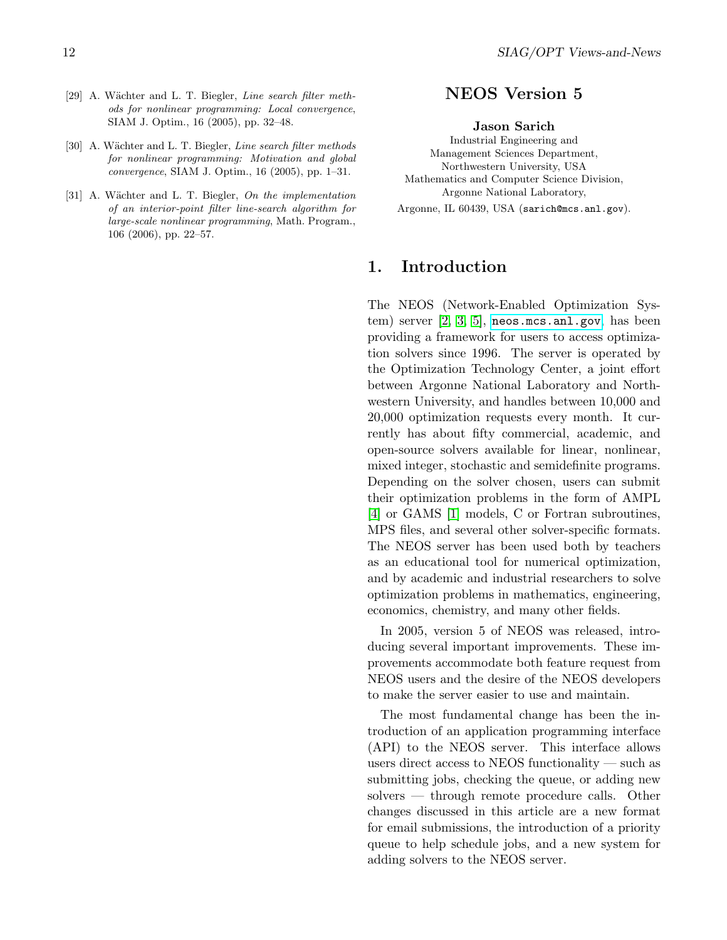- <span id="page-11-1"></span>[29] A. Wächter and L. T. Biegler, Line search filter methods for nonlinear programming: Local convergence, SIAM J. Optim., 16 (2005), pp. 32–48.
- <span id="page-11-2"></span>[30] A. Wächter and L. T. Biegler, Line search filter methods for nonlinear programming: Motivation and global convergence, SIAM J. Optim., 16 (2005), pp. 1–31.
- <span id="page-11-3"></span>[31] A. Wächter and L. T. Biegler, On the implementation of an interior-point filter line-search algorithm for large-scale nonlinear programming, Math. Program., 106 (2006), pp. 22–57.

## NEOS Version 5

#### Jason Sarich

<span id="page-11-0"></span>Industrial Engineering and Management Sciences Department, Northwestern University, USA Mathematics and Computer Science Division, Argonne National Laboratory, Argonne, IL 60439, USA (sarich@mcs.anl.gov).

## 1. Introduction

The NEOS (Network-Enabled Optimization System) server  $[2, 3, 5]$  $[2, 3, 5]$  $[2, 3, 5]$ , [neos.mcs.anl.gov](http://neos.mcs.anl.gov), has been providing a framework for users to access optimization solvers since 1996. The server is operated by the Optimization Technology Center, a joint effort between Argonne National Laboratory and Northwestern University, and handles between 10,000 and 20,000 optimization requests every month. It currently has about fifty commercial, academic, and open-source solvers available for linear, nonlinear, mixed integer, stochastic and semidefinite programs. Depending on the solver chosen, users can submit their optimization problems in the form of AMPL [\[4\]](#page-15-3) or GAMS [\[1\]](#page-15-4) models, C or Fortran subroutines, MPS files, and several other solver-specific formats. The NEOS server has been used both by teachers as an educational tool for numerical optimization, and by academic and industrial researchers to solve optimization problems in mathematics, engineering, economics, chemistry, and many other fields.

In 2005, version 5 of NEOS was released, introducing several important improvements. These improvements accommodate both feature request from NEOS users and the desire of the NEOS developers to make the server easier to use and maintain.

The most fundamental change has been the introduction of an application programming interface (API) to the NEOS server. This interface allows users direct access to NEOS functionality — such as submitting jobs, checking the queue, or adding new solvers — through remote procedure calls. Other changes discussed in this article are a new format for email submissions, the introduction of a priority queue to help schedule jobs, and a new system for adding solvers to the NEOS server.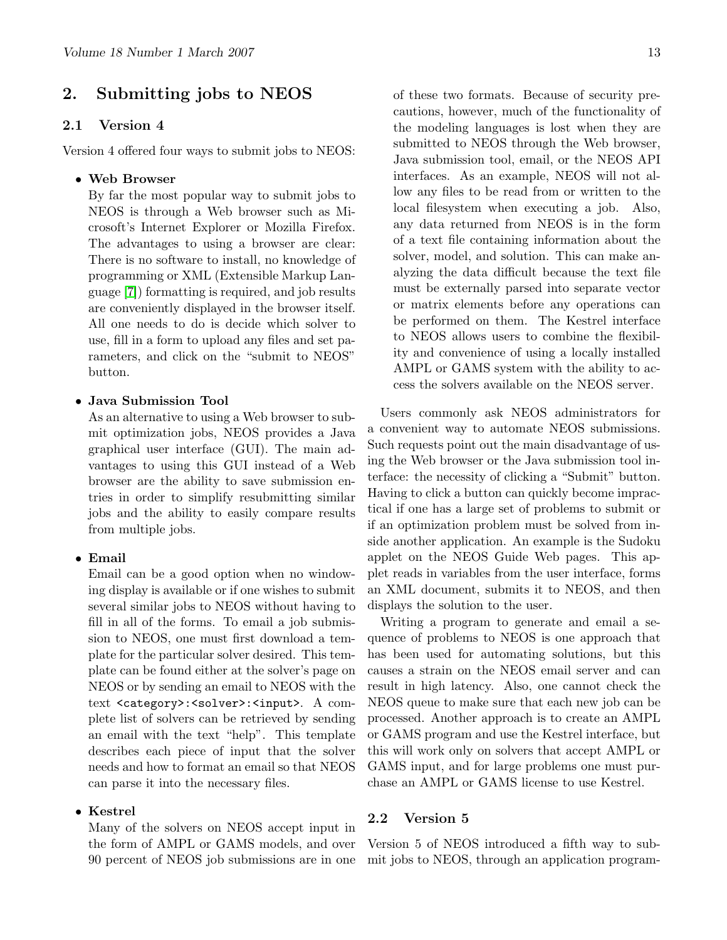## 2. Submitting jobs to NEOS

#### 2.1 Version 4

Version 4 offered four ways to submit jobs to NEOS:

#### • Web Browser

By far the most popular way to submit jobs to NEOS is through a Web browser such as Microsoft's Internet Explorer or Mozilla Firefox. The advantages to using a browser are clear: There is no software to install, no knowledge of programming or XML (Extensible Markup Language [\[7\]](#page-15-5)) formatting is required, and job results are conveniently displayed in the browser itself. All one needs to do is decide which solver to use, fill in a form to upload any files and set parameters, and click on the "submit to NEOS" button.

#### • Java Submission Tool

As an alternative to using a Web browser to submit optimization jobs, NEOS provides a Java graphical user interface (GUI). The main advantages to using this GUI instead of a Web browser are the ability to save submission entries in order to simplify resubmitting similar jobs and the ability to easily compare results from multiple jobs.

#### • Email

Email can be a good option when no windowing display is available or if one wishes to submit several similar jobs to NEOS without having to fill in all of the forms. To email a job submission to NEOS, one must first download a template for the particular solver desired. This template can be found either at the solver's page on NEOS or by sending an email to NEOS with the text <category>:<solver>:<input>. A complete list of solvers can be retrieved by sending an email with the text "help". This template describes each piece of input that the solver needs and how to format an email so that NEOS can parse it into the necessary files.

#### • Kestrel

Many of the solvers on NEOS accept input in the form of AMPL or GAMS models, and over 90 percent of NEOS job submissions are in one of these two formats. Because of security precautions, however, much of the functionality of the modeling languages is lost when they are submitted to NEOS through the Web browser, Java submission tool, email, or the NEOS API interfaces. As an example, NEOS will not allow any files to be read from or written to the local filesystem when executing a job. Also, any data returned from NEOS is in the form of a text file containing information about the solver, model, and solution. This can make analyzing the data difficult because the text file must be externally parsed into separate vector or matrix elements before any operations can be performed on them. The Kestrel interface to NEOS allows users to combine the flexibility and convenience of using a locally installed AMPL or GAMS system with the ability to access the solvers available on the NEOS server.

Users commonly ask NEOS administrators for a convenient way to automate NEOS submissions. Such requests point out the main disadvantage of using the Web browser or the Java submission tool interface: the necessity of clicking a "Submit" button. Having to click a button can quickly become impractical if one has a large set of problems to submit or if an optimization problem must be solved from inside another application. An example is the Sudoku applet on the NEOS Guide Web pages. This applet reads in variables from the user interface, forms an XML document, submits it to NEOS, and then displays the solution to the user.

Writing a program to generate and email a sequence of problems to NEOS is one approach that has been used for automating solutions, but this causes a strain on the NEOS email server and can result in high latency. Also, one cannot check the NEOS queue to make sure that each new job can be processed. Another approach is to create an AMPL or GAMS program and use the Kestrel interface, but this will work only on solvers that accept AMPL or GAMS input, and for large problems one must purchase an AMPL or GAMS license to use Kestrel.

#### 2.2 Version 5

Version 5 of NEOS introduced a fifth way to submit jobs to NEOS, through an application program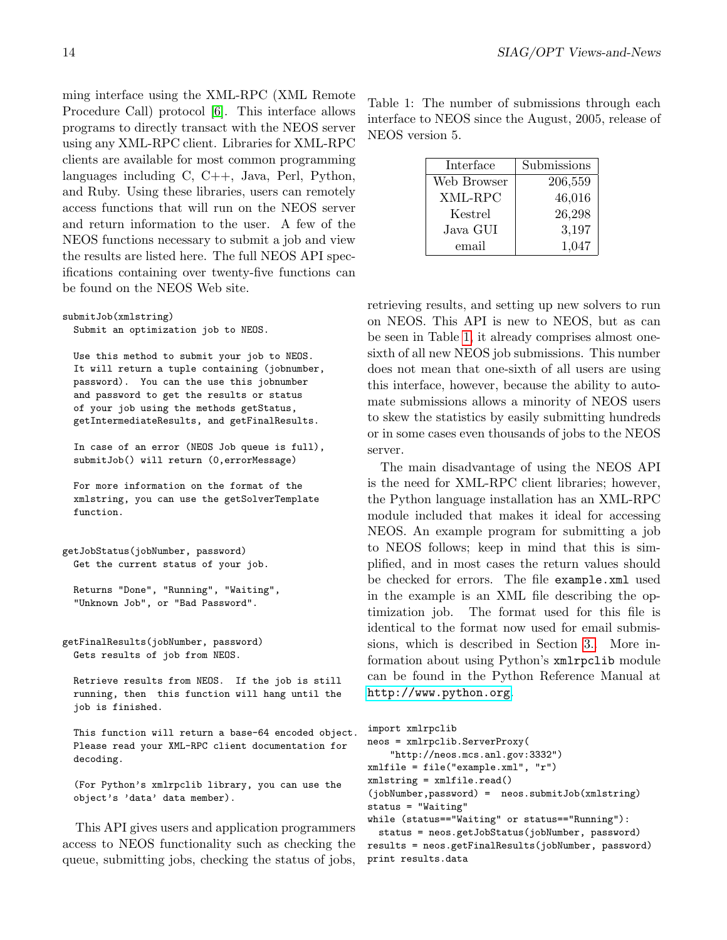ming interface using the XML-RPC (XML Remote Procedure Call) protocol [\[6\]](#page-15-6). This interface allows programs to directly transact with the NEOS server using any XML-RPC client. Libraries for XML-RPC clients are available for most common programming languages including C, C++, Java, Perl, Python, and Ruby. Using these libraries, users can remotely access functions that will run on the NEOS server and return information to the user. A few of the NEOS functions necessary to submit a job and view the results are listed here. The full NEOS API specifications containing over twenty-five functions can be found on the NEOS Web site.

```
submitJob(xmlstring)
 Submit an optimization job to NEOS.
```
Use this method to submit your job to NEOS. It will return a tuple containing (jobnumber, password). You can the use this jobnumber and password to get the results or status of your job using the methods getStatus, getIntermediateResults, and getFinalResults.

In case of an error (NEOS Job queue is full), submitJob() will return (0,errorMessage)

For more information on the format of the xmlstring, you can use the getSolverTemplate function.

```
getJobStatus(jobNumber, password)
 Get the current status of your job.
```

```
Returns "Done", "Running", "Waiting",
"Unknown Job", or "Bad Password".
```
getFinalResults(jobNumber, password) Gets results of job from NEOS.

```
Retrieve results from NEOS. If the job is still
running, then this function will hang until the
job is finished.
```
This function will return a base-64 encoded object. Please read your XML-RPC client documentation for decoding.

(For Python's xmlrpclib library, you can use the object's 'data' data member).

This API gives users and application programmers access to NEOS functionality such as checking the queue, submitting jobs, checking the status of jobs,

<span id="page-13-0"></span>Table 1: The number of submissions through each interface to NEOS since the August, 2005, release of NEOS version 5.

| Interface   | Submissions |
|-------------|-------------|
| Web Browser | 206,559     |
| XML-RPC     | 46,016      |
| Kestrel     | 26,298      |
| Java GUI    | 3,197       |
| email       | 1,047       |

retrieving results, and setting up new solvers to run on NEOS. This API is new to NEOS, but as can be seen in Table [1,](#page-13-0) it already comprises almost onesixth of all new NEOS job submissions. This number does not mean that one-sixth of all users are using this interface, however, because the ability to automate submissions allows a minority of NEOS users to skew the statistics by easily submitting hundreds or in some cases even thousands of jobs to the NEOS server.

The main disadvantage of using the NEOS API is the need for XML-RPC client libraries; however, the Python language installation has an XML-RPC module included that makes it ideal for accessing NEOS. An example program for submitting a job to NEOS follows; keep in mind that this is simplified, and in most cases the return values should be checked for errors. The file example.xml used in the example is an XML file describing the optimization job. The format used for this file is identical to the format now used for email submissions, which is described in Section [3..](#page-7-2) More information about using Python's xmlrpclib module can be found in the Python Reference Manual at <http://www.python.org>.

```
import xmlrpclib
neos = xmlrpclib.ServerProxy(
    "http://neos.mcs.anl.gov:3332")
xmlfile = file("example.xml", "r")
xmlstring = xmlfile.read()(jobNumber,password) = neos.submitJob(xmlstring)
status = "Waiting"
while (status=="Waiting" or status=="Running"):
```
status = neos.getJobStatus(jobNumber, password) results = neos.getFinalResults(jobNumber, password) print results.data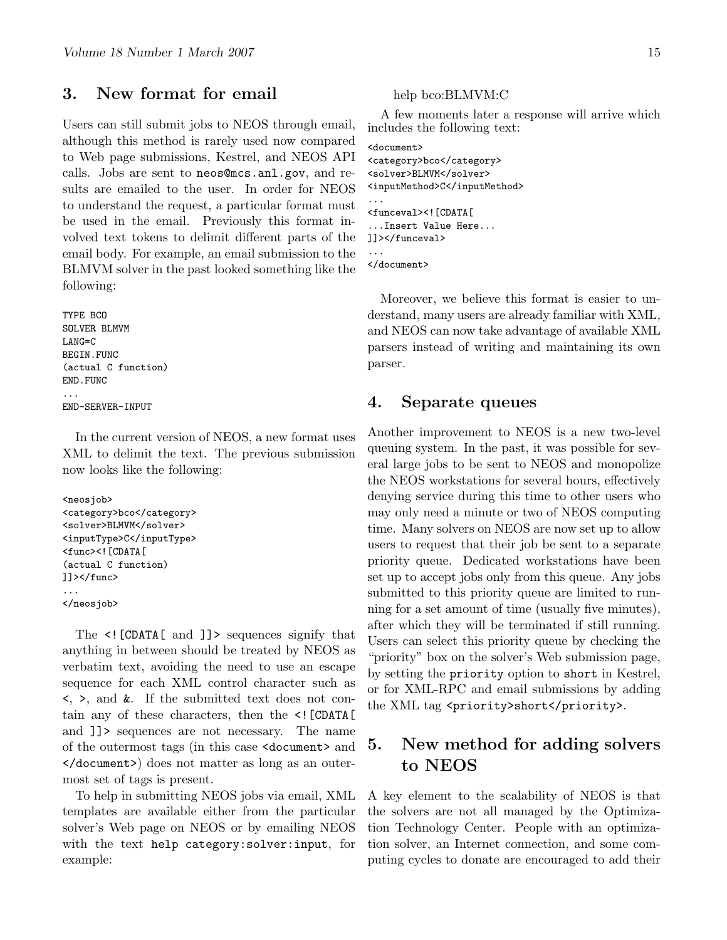## 3. New format for email

Users can still submit jobs to NEOS through email, although this method is rarely used now compared to Web page submissions, Kestrel, and NEOS API calls. Jobs are sent to neos@mcs.anl.gov, and results are emailed to the user. In order for NEOS to understand the request, a particular format must be used in the email. Previously this format involved text tokens to delimit different parts of the email body. For example, an email submission to the BLMVM solver in the past looked something like the following:

TYPE BCO SOLVER BLMVM LANG=C BEGIN.FUNC (actual C function) END.FUNC ... END-SERVER-INPUT

In the current version of NEOS, a new format uses XML to delimit the text. The previous submission now looks like the following:

```
<neosjob>
<category>bco</category>
<solver>BLMVM</solver>
<inputType>C</inputType>
<func><![CDATA[
(actual C function)
]]></func>
...
</neosjob>
```
The  $\leq$ ! [CDATA[ and ]] > sequences signify that anything in between should be treated by NEOS as verbatim text, avoiding the need to use an escape sequence for each XML control character such as <, >, and &. If the submitted text does not contain any of these characters, then the <![CDATA[ and ]]> sequences are not necessary. The name of the outermost tags (in this case <document> and </document>) does not matter as long as an outermost set of tags is present.

To help in submitting NEOS jobs via email, XML templates are available either from the particular solver's Web page on NEOS or by emailing NEOS with the text help category:solver:input, for example:

#### help bco:BLMVM:C

A few moments later a response will arrive which includes the following text:

```
<document>
<category>bco</category>
<solver>BLMVM</solver>
<inputMethod>C</inputMethod>
...
<funceval><![CDATA[
...Insert Value Here...
]]></funceval>
...
</document>
```
Moreover, we believe this format is easier to understand, many users are already familiar with XML, and NEOS can now take advantage of available XML parsers instead of writing and maintaining its own parser.

### 4. Separate queues

Another improvement to NEOS is a new two-level queuing system. In the past, it was possible for several large jobs to be sent to NEOS and monopolize the NEOS workstations for several hours, effectively denying service during this time to other users who may only need a minute or two of NEOS computing time. Many solvers on NEOS are now set up to allow users to request that their job be sent to a separate priority queue. Dedicated workstations have been set up to accept jobs only from this queue. Any jobs submitted to this priority queue are limited to running for a set amount of time (usually five minutes), after which they will be terminated if still running. Users can select this priority queue by checking the "priority" box on the solver's Web submission page, by setting the priority option to short in Kestrel, or for XML-RPC and email submissions by adding the XML tag <priority>short</priority>.

## 5. New method for adding solvers to NEOS

A key element to the scalability of NEOS is that the solvers are not all managed by the Optimization Technology Center. People with an optimization solver, an Internet connection, and some computing cycles to donate are encouraged to add their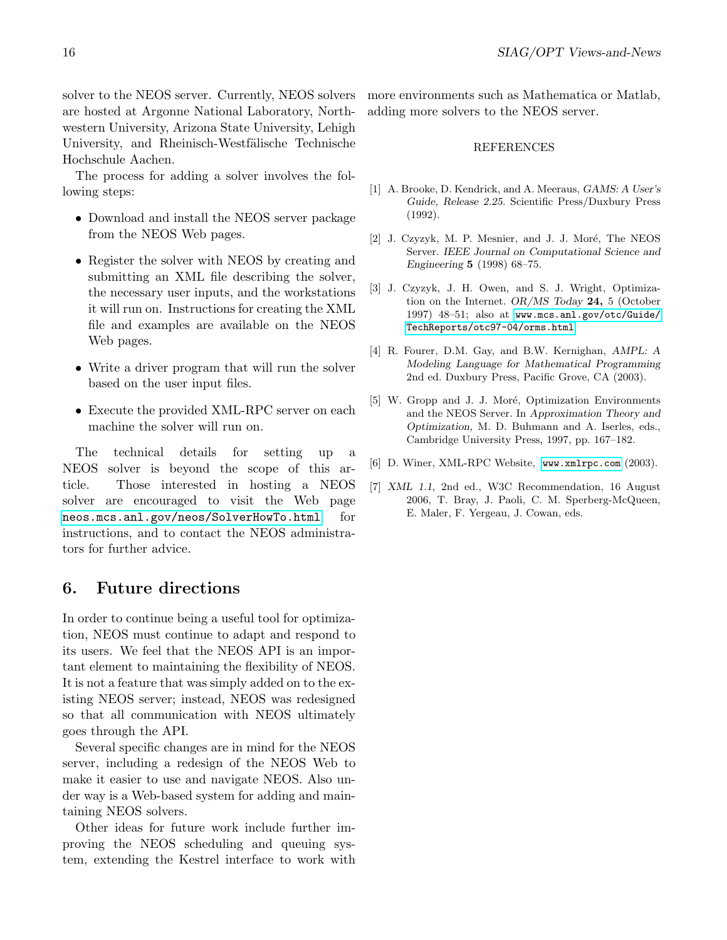solver to the NEOS server. Currently, NEOS solvers are hosted at Argonne National Laboratory, Northwestern University, Arizona State University, Lehigh University, and Rheinisch-Westfälische Technische Hochschule Aachen.

The process for adding a solver involves the following steps:

- Download and install the NEOS server package from the NEOS Web pages.
- Register the solver with NEOS by creating and submitting an XML file describing the solver, the necessary user inputs, and the workstations it will run on. Instructions for creating the XML file and examples are available on the NEOS Web pages.
- Write a driver program that will run the solver based on the user input files.
- Execute the provided XML-RPC server on each machine the solver will run on.

The technical details for setting up a NEOS solver is beyond the scope of this article. Those interested in hosting a NEOS solver are encouraged to visit the Web page [neos.mcs.anl.gov/neos/SolverHowTo.html](http://neos.mcs.anl.gov/neos/SolverHowTo.html) for instructions, and to contact the NEOS administrators for further advice.

## 6. Future directions

In order to continue being a useful tool for optimization, NEOS must continue to adapt and respond to its users. We feel that the NEOS API is an important element to maintaining the flexibility of NEOS. It is not a feature that was simply added on to the existing NEOS server; instead, NEOS was redesigned so that all communication with NEOS ultimately goes through the API.

Several specific changes are in mind for the NEOS server, including a redesign of the NEOS Web to make it easier to use and navigate NEOS. Also under way is a Web-based system for adding and maintaining NEOS solvers.

Other ideas for future work include further improving the NEOS scheduling and queuing system, extending the Kestrel interface to work with more environments such as Mathematica or Matlab, adding more solvers to the NEOS server.

#### REFERENCES

- <span id="page-15-4"></span>[1] A. Brooke, D. Kendrick, and A. Meeraus, GAMS: A User's Guide, Release 2.25. Scientific Press/Duxbury Press (1992).
- <span id="page-15-0"></span>[2] J. Czyzyk, M. P. Mesnier, and J. J. Moré, The NEOS Server. IEEE Journal on Computational Science and Engineering 5 (1998) 68–75.
- <span id="page-15-1"></span>[3] J. Czyzyk, J. H. Owen, and S. J. Wright, Optimization on the Internet. OR/MS Today 24, 5 (October 1997) 48–51; also at [www.mcs.anl.gov/otc/Guide/](http://www.mcs.anl.gov/otc/Guide/TechReports/otc97-04/orms.html) [TechReports/otc97-04/orms.html](http://www.mcs.anl.gov/otc/Guide/TechReports/otc97-04/orms.html).
- <span id="page-15-3"></span>[4] R. Fourer, D.M. Gay, and B.W. Kernighan, AMPL: A Modeling Language for Mathematical Programming 2nd ed. Duxbury Press, Pacific Grove, CA (2003).
- <span id="page-15-2"></span>[5] W. Gropp and J. J. Moré, Optimization Environments and the NEOS Server. In Approximation Theory and Optimization, M. D. Buhmann and A. Iserles, eds., Cambridge University Press, 1997, pp. 167–182.
- <span id="page-15-6"></span>[6] D. Winer, XML-RPC Website, [www.xmlrpc.com](http://www.xmlrpc.com) (2003).
- <span id="page-15-5"></span>[7] XML 1.1, 2nd ed., W3C Recommendation, 16 August 2006, T. Bray, J. Paoli, C. M. Sperberg-McQueen, E. Maler, F. Yergeau, J. Cowan, eds.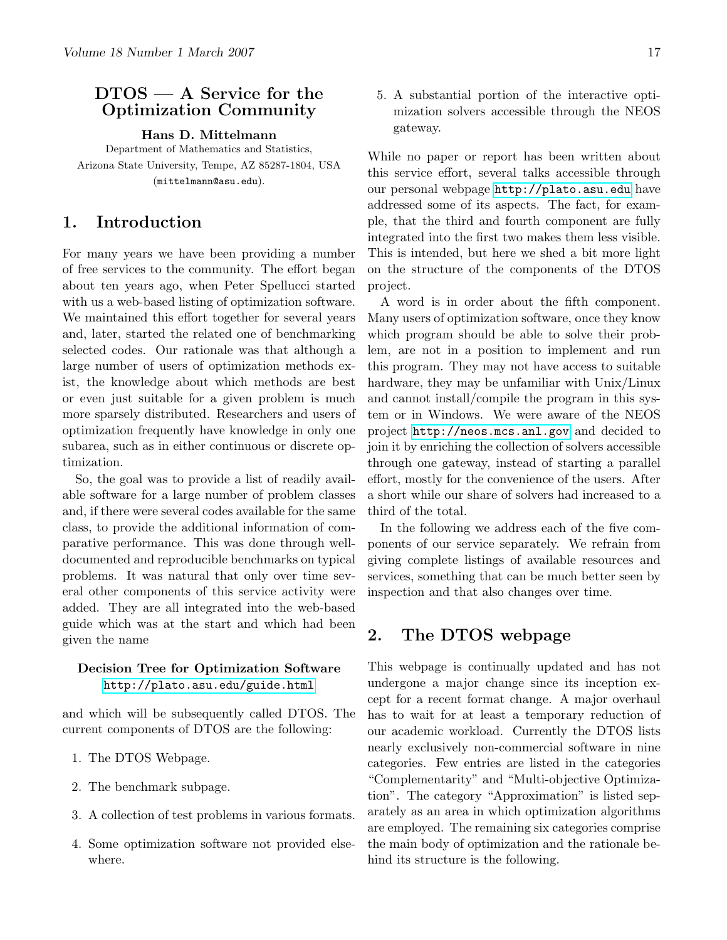## <span id="page-16-0"></span>DTOS — A Service for the Optimization Community

Hans D. Mittelmann

Department of Mathematics and Statistics, Arizona State University, Tempe, AZ 85287-1804, USA (mittelmann@asu.edu).

## 1. Introduction

For many years we have been providing a number of free services to the community. The effort began about ten years ago, when Peter Spellucci started with us a web-based listing of optimization software. We maintained this effort together for several years and, later, started the related one of benchmarking selected codes. Our rationale was that although a large number of users of optimization methods exist, the knowledge about which methods are best or even just suitable for a given problem is much more sparsely distributed. Researchers and users of optimization frequently have knowledge in only one subarea, such as in either continuous or discrete optimization.

So, the goal was to provide a list of readily available software for a large number of problem classes and, if there were several codes available for the same class, to provide the additional information of comparative performance. This was done through welldocumented and reproducible benchmarks on typical problems. It was natural that only over time several other components of this service activity were added. They are all integrated into the web-based guide which was at the start and which had been given the name

#### Decision Tree for Optimization Software <http://plato.asu.edu/guide.html>

and which will be subsequently called DTOS. The current components of DTOS are the following:

- 1. The DTOS Webpage.
- 2. The benchmark subpage.
- 3. A collection of test problems in various formats.
- 4. Some optimization software not provided elsewhere.

5. A substantial portion of the interactive optimization solvers accessible through the NEOS gateway.

While no paper or report has been written about this service effort, several talks accessible through our personal webpage [http://plato.asu.edu](http://plato.asu.edu/) have addressed some of its aspects. The fact, for example, that the third and fourth component are fully integrated into the first two makes them less visible. This is intended, but here we shed a bit more light on the structure of the components of the DTOS project.

A word is in order about the fifth component. Many users of optimization software, once they know which program should be able to solve their problem, are not in a position to implement and run this program. They may not have access to suitable hardware, they may be unfamiliar with Unix/Linux and cannot install/compile the program in this system or in Windows. We were aware of the NEOS project <http://neos.mcs.anl.gov> and decided to join it by enriching the collection of solvers accessible through one gateway, instead of starting a parallel effort, mostly for the convenience of the users. After a short while our share of solvers had increased to a third of the total.

In the following we address each of the five components of our service separately. We refrain from giving complete listings of available resources and services, something that can be much better seen by inspection and that also changes over time.

## 2. The DTOS webpage

This webpage is continually updated and has not undergone a major change since its inception except for a recent format change. A major overhaul has to wait for at least a temporary reduction of our academic workload. Currently the DTOS lists nearly exclusively non-commercial software in nine categories. Few entries are listed in the categories "Complementarity" and "Multi-objective Optimization". The category "Approximation" is listed separately as an area in which optimization algorithms are employed. The remaining six categories comprise the main body of optimization and the rationale behind its structure is the following.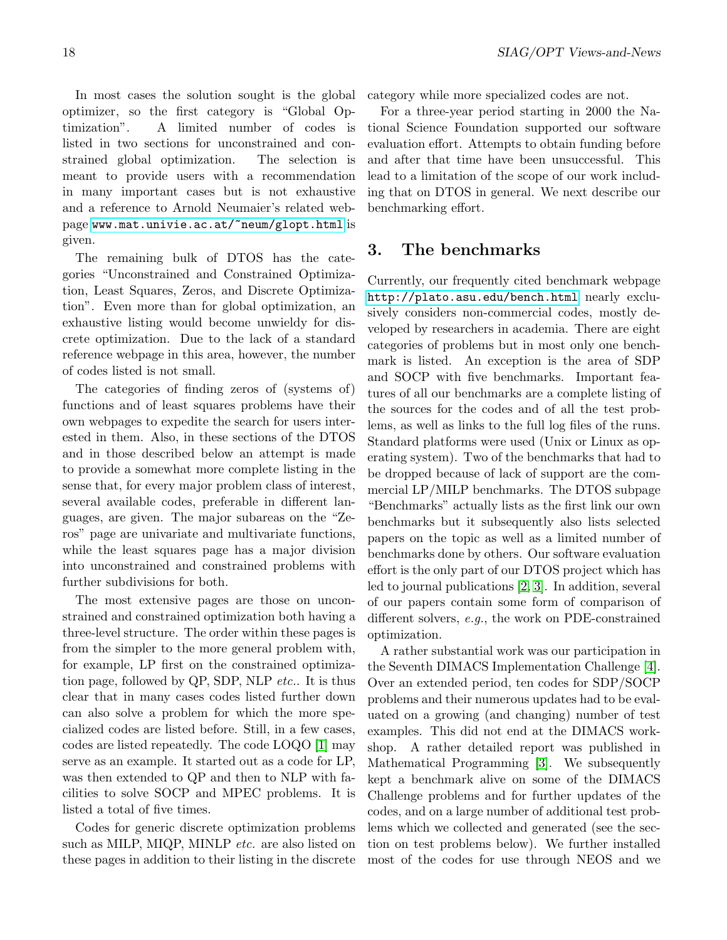In most cases the solution sought is the global optimizer, so the first category is "Global Optimization". A limited number of codes is listed in two sections for unconstrained and constrained global optimization. The selection is meant to provide users with a recommendation in many important cases but is not exhaustive and a reference to Arnold Neumaier's related webpage [www.mat.univie.ac.at/~neum/glopt.html](http://www.mat.univie.ac.at/~neum/glopt.html) is given.

The remaining bulk of DTOS has the categories "Unconstrained and Constrained Optimization, Least Squares, Zeros, and Discrete Optimization". Even more than for global optimization, an exhaustive listing would become unwieldy for discrete optimization. Due to the lack of a standard reference webpage in this area, however, the number of codes listed is not small.

The categories of finding zeros of (systems of) functions and of least squares problems have their own webpages to expedite the search for users interested in them. Also, in these sections of the DTOS and in those described below an attempt is made to provide a somewhat more complete listing in the sense that, for every major problem class of interest, several available codes, preferable in different languages, are given. The major subareas on the "Zeros" page are univariate and multivariate functions, while the least squares page has a major division into unconstrained and constrained problems with further subdivisions for both.

The most extensive pages are those on unconstrained and constrained optimization both having a three-level structure. The order within these pages is from the simpler to the more general problem with, for example, LP first on the constrained optimization page, followed by QP, SDP, NLP etc.. It is thus clear that in many cases codes listed further down can also solve a problem for which the more specialized codes are listed before. Still, in a few cases, codes are listed repeatedly. The code LOQO [\[1\]](#page-19-0) may serve as an example. It started out as a code for LP, was then extended to QP and then to NLP with facilities to solve SOCP and MPEC problems. It is listed a total of five times.

Codes for generic discrete optimization problems such as MILP, MIQP, MINLP etc. are also listed on these pages in addition to their listing in the discrete category while more specialized codes are not.

For a three-year period starting in 2000 the National Science Foundation supported our software evaluation effort. Attempts to obtain funding before and after that time have been unsuccessful. This lead to a limitation of the scope of our work including that on DTOS in general. We next describe our benchmarking effort.

## 3. The benchmarks

Currently, our frequently cited benchmark webpage <http://plato.asu.edu/bench.html> nearly exclusively considers non-commercial codes, mostly developed by researchers in academia. There are eight categories of problems but in most only one benchmark is listed. An exception is the area of SDP and SOCP with five benchmarks. Important features of all our benchmarks are a complete listing of the sources for the codes and of all the test problems, as well as links to the full log files of the runs. Standard platforms were used (Unix or Linux as operating system). Two of the benchmarks that had to be dropped because of lack of support are the commercial LP/MILP benchmarks. The DTOS subpage "Benchmarks" actually lists as the first link our own benchmarks but it subsequently also lists selected papers on the topic as well as a limited number of benchmarks done by others. Our software evaluation effort is the only part of our DTOS project which has led to journal publications [\[2,](#page-19-1) [3\]](#page-19-2). In addition, several of our papers contain some form of comparison of different solvers, e.g., the work on PDE-constrained optimization.

A rather substantial work was our participation in the Seventh DIMACS Implementation Challenge [\[4\]](#page-19-3). Over an extended period, ten codes for SDP/SOCP problems and their numerous updates had to be evaluated on a growing (and changing) number of test examples. This did not end at the DIMACS workshop. A rather detailed report was published in Mathematical Programming [\[3\]](#page-19-2). We subsequently kept a benchmark alive on some of the DIMACS Challenge problems and for further updates of the codes, and on a large number of additional test problems which we collected and generated (see the section on test problems below). We further installed most of the codes for use through NEOS and we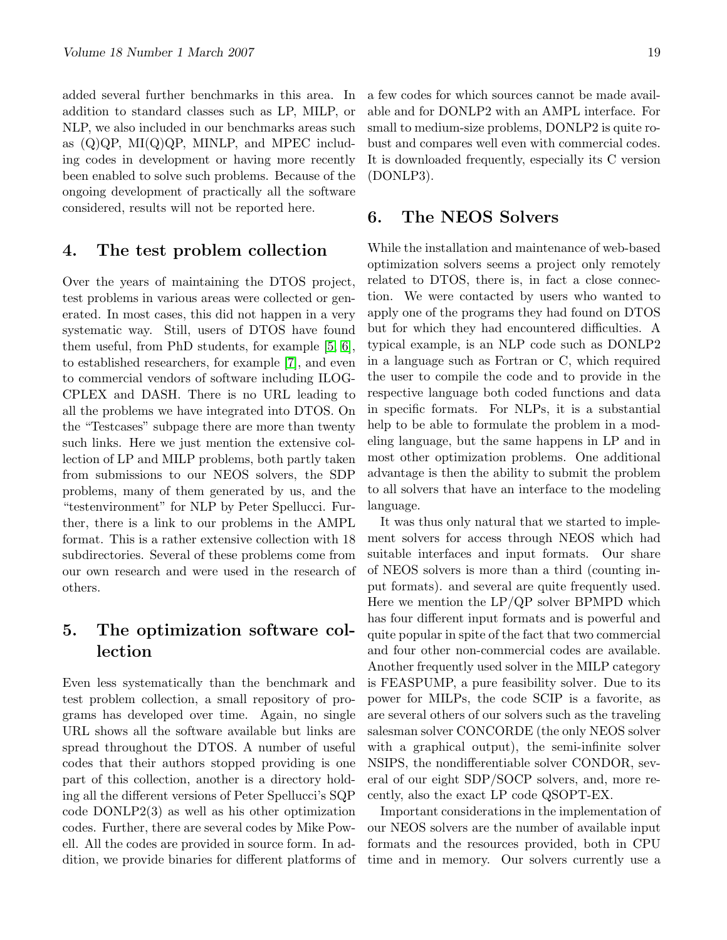added several further benchmarks in this area. In addition to standard classes such as LP, MILP, or NLP, we also included in our benchmarks areas such as  $(Q)QP$ ,  $MI(Q)QP$ ,  $MINLP$ , and  $MPEC$  including codes in development or having more recently been enabled to solve such problems. Because of the ongoing development of practically all the software considered, results will not be reported here.

#### 4. The test problem collection

Over the years of maintaining the DTOS project, test problems in various areas were collected or generated. In most cases, this did not happen in a very systematic way. Still, users of DTOS have found them useful, from PhD students, for example [\[5,](#page-19-4) [6\]](#page-19-5), to established researchers, for example [\[7\]](#page-19-6), and even to commercial vendors of software including ILOG-CPLEX and DASH. There is no URL leading to all the problems we have integrated into DTOS. On the "Testcases" subpage there are more than twenty such links. Here we just mention the extensive collection of LP and MILP problems, both partly taken from submissions to our NEOS solvers, the SDP problems, many of them generated by us, and the "testenvironment" for NLP by Peter Spellucci. Further, there is a link to our problems in the AMPL format. This is a rather extensive collection with 18 subdirectories. Several of these problems come from our own research and were used in the research of others.

## 5. The optimization software collection

Even less systematically than the benchmark and test problem collection, a small repository of programs has developed over time. Again, no single URL shows all the software available but links are spread throughout the DTOS. A number of useful codes that their authors stopped providing is one part of this collection, another is a directory holding all the different versions of Peter Spellucci's SQP code DONLP2(3) as well as his other optimization codes. Further, there are several codes by Mike Powell. All the codes are provided in source form. In addition, we provide binaries for different platforms of a few codes for which sources cannot be made available and for DONLP2 with an AMPL interface. For small to medium-size problems, DONLP2 is quite robust and compares well even with commercial codes. It is downloaded frequently, especially its C version (DONLP3).

### 6. The NEOS Solvers

While the installation and maintenance of web-based optimization solvers seems a project only remotely related to DTOS, there is, in fact a close connection. We were contacted by users who wanted to apply one of the programs they had found on DTOS but for which they had encountered difficulties. A typical example, is an NLP code such as DONLP2 in a language such as Fortran or C, which required the user to compile the code and to provide in the respective language both coded functions and data in specific formats. For NLPs, it is a substantial help to be able to formulate the problem in a modeling language, but the same happens in LP and in most other optimization problems. One additional advantage is then the ability to submit the problem to all solvers that have an interface to the modeling language.

It was thus only natural that we started to implement solvers for access through NEOS which had suitable interfaces and input formats. Our share of NEOS solvers is more than a third (counting input formats). and several are quite frequently used. Here we mention the LP/QP solver BPMPD which has four different input formats and is powerful and quite popular in spite of the fact that two commercial and four other non-commercial codes are available. Another frequently used solver in the MILP category is FEASPUMP, a pure feasibility solver. Due to its power for MILPs, the code SCIP is a favorite, as are several others of our solvers such as the traveling salesman solver CONCORDE (the only NEOS solver with a graphical output), the semi-infinite solver NSIPS, the nondifferentiable solver CONDOR, several of our eight SDP/SOCP solvers, and, more recently, also the exact LP code QSOPT-EX.

Important considerations in the implementation of our NEOS solvers are the number of available input formats and the resources provided, both in CPU time and in memory. Our solvers currently use a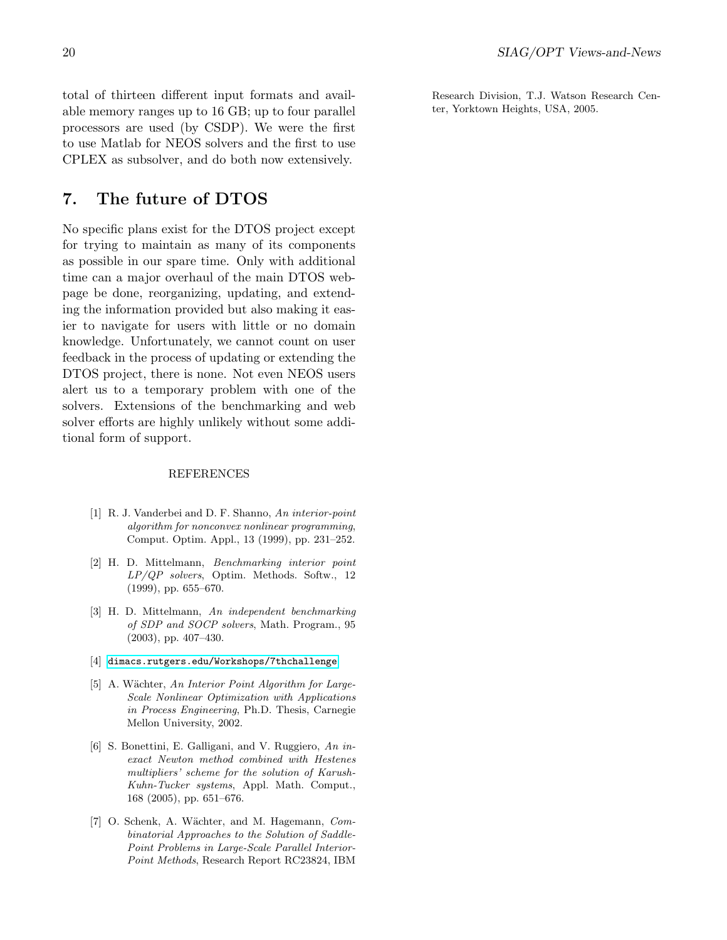total of thirteen different input formats and available memory ranges up to 16 GB; up to four parallel processors are used (by CSDP). We were the first to use Matlab for NEOS solvers and the first to use CPLEX as subsolver, and do both now extensively.

## 7. The future of DTOS

No specific plans exist for the DTOS project except for trying to maintain as many of its components as possible in our spare time. Only with additional time can a major overhaul of the main DTOS webpage be done, reorganizing, updating, and extending the information provided but also making it easier to navigate for users with little or no domain knowledge. Unfortunately, we cannot count on user feedback in the process of updating or extending the DTOS project, there is none. Not even NEOS users alert us to a temporary problem with one of the solvers. Extensions of the benchmarking and web solver efforts are highly unlikely without some additional form of support.

#### REFERENCES

- <span id="page-19-0"></span>[1] R. J. Vanderbei and D. F. Shanno, An interior-point algorithm for nonconvex nonlinear programming, Comput. Optim. Appl., 13 (1999), pp. 231–252.
- <span id="page-19-1"></span>[2] H. D. Mittelmann, Benchmarking interior point LP/QP solvers, Optim. Methods. Softw., 12 (1999), pp. 655–670.
- <span id="page-19-2"></span>[3] H. D. Mittelmann, An independent benchmarking of SDP and SOCP solvers, Math. Program., 95 (2003), pp. 407–430.
- <span id="page-19-3"></span>[4] [dimacs.rutgers.edu/Workshops/7thchallenge](http://dimacs.rutgers.edu/Workshops/7thchallenge)
- <span id="page-19-4"></span>[5] A. Wächter, An Interior Point Algorithm for Large-Scale Nonlinear Optimization with Applications in Process Engineering, Ph.D. Thesis, Carnegie Mellon University, 2002.
- <span id="page-19-5"></span>[6] S. Bonettini, E. Galligani, and V. Ruggiero, An inexact Newton method combined with Hestenes multipliers' scheme for the solution of Karush-Kuhn-Tucker systems, Appl. Math. Comput., 168 (2005), pp. 651–676.
- <span id="page-19-6"></span>[7] O. Schenk, A. Wächter, and M. Hagemann, Combinatorial Approaches to the Solution of Saddle-Point Problems in Large-Scale Parallel Interior-Point Methods, Research Report RC23824, IBM

Research Division, T.J. Watson Research Center, Yorktown Heights, USA, 2005.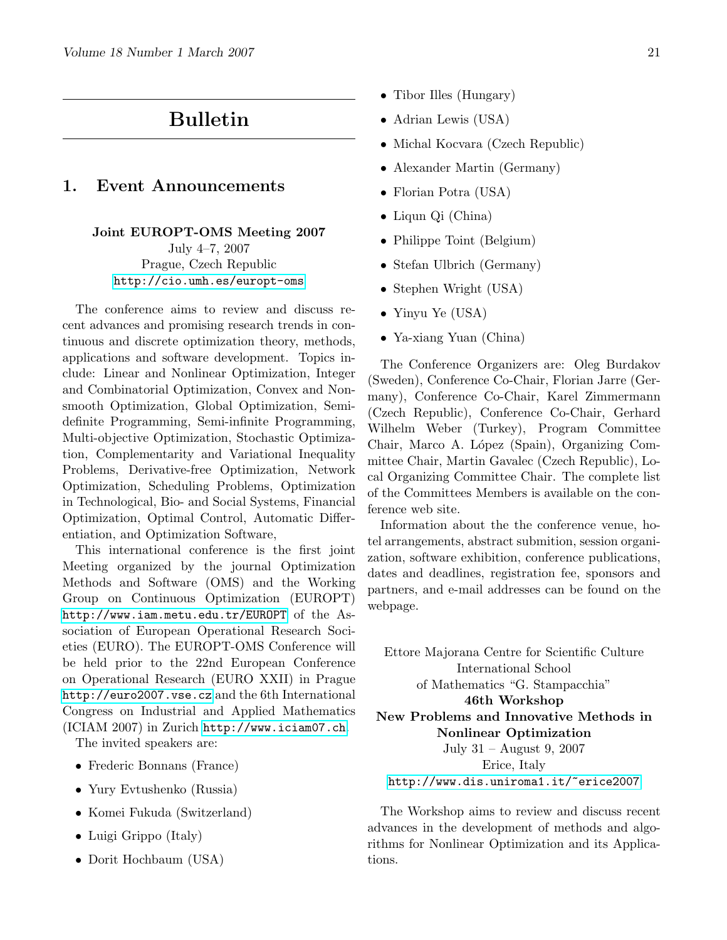## Bulletin

## <span id="page-20-0"></span>1. Event Announcements

Joint EUROPT-OMS Meeting 2007 July 4–7, 2007 Prague, Czech Republic <http://cio.umh.es/europt-oms>

The conference aims to review and discuss recent advances and promising research trends in continuous and discrete optimization theory, methods, applications and software development. Topics include: Linear and Nonlinear Optimization, Integer and Combinatorial Optimization, Convex and Nonsmooth Optimization, Global Optimization, Semidefinite Programming, Semi-infinite Programming, Multi-objective Optimization, Stochastic Optimization, Complementarity and Variational Inequality Problems, Derivative-free Optimization, Network Optimization, Scheduling Problems, Optimization in Technological, Bio- and Social Systems, Financial Optimization, Optimal Control, Automatic Differentiation, and Optimization Software,

This international conference is the first joint Meeting organized by the journal Optimization Methods and Software (OMS) and the Working Group on Continuous Optimization (EUROPT) <http://www.iam.metu.edu.tr/EUROPT> of the Association of European Operational Research Societies (EURO). The EUROPT-OMS Conference will be held prior to the 22nd European Conference on Operational Research (EURO XXII) in Prague <http://euro2007.vse.cz> and the 6th International Congress on Industrial and Applied Mathematics (ICIAM 2007) in Zurich <http://www.iciam07.ch>.

The invited speakers are:

- Frederic Bonnans (France)
- Yury Evtushenko (Russia)
- Komei Fukuda (Switzerland)
- Luigi Grippo (Italy)
- Dorit Hochbaum (USA)
- Tibor Illes (Hungary)
- Adrian Lewis (USA)
- Michal Kocvara (Czech Republic)
- Alexander Martin (Germany)
- Florian Potra (USA)
- Liqun Qi (China)
- Philippe Toint (Belgium)
- Stefan Ulbrich (Germany)
- Stephen Wright (USA)
- Yinyu Ye (USA)
- Ya-xiang Yuan (China)

The Conference Organizers are: Oleg Burdakov (Sweden), Conference Co-Chair, Florian Jarre (Germany), Conference Co-Chair, Karel Zimmermann (Czech Republic), Conference Co-Chair, Gerhard Wilhelm Weber (Turkey), Program Committee Chair, Marco A. López (Spain), Organizing Committee Chair, Martin Gavalec (Czech Republic), Local Organizing Committee Chair. The complete list of the Committees Members is available on the conference web site.

Information about the the conference venue, hotel arrangements, abstract submition, session organization, software exhibition, conference publications, dates and deadlines, registration fee, sponsors and partners, and e-mail addresses can be found on the webpage.

Ettore Majorana Centre for Scientific Culture International School of Mathematics "G. Stampacchia" 46th Workshop New Problems and Innovative Methods in Nonlinear Optimization July 31 – August 9, 2007 Erice, Italy

<http://www.dis.uniroma1.it/~erice2007>

The Workshop aims to review and discuss recent advances in the development of methods and algorithms for Nonlinear Optimization and its Applications.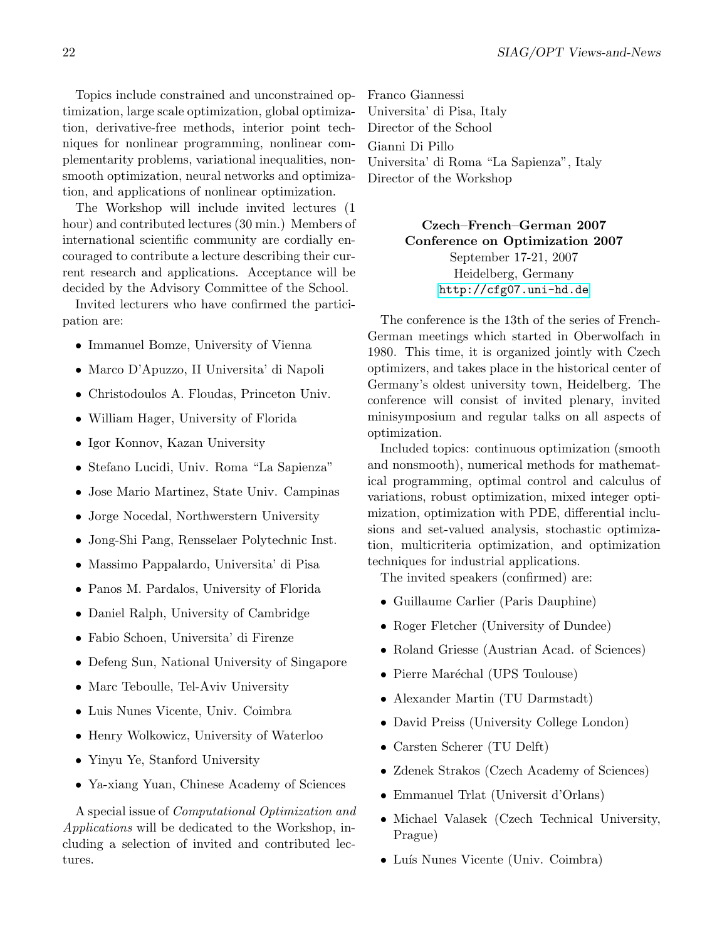Topics include constrained and unconstrained optimization, large scale optimization, global optimization, derivative-free methods, interior point techniques for nonlinear programming, nonlinear complementarity problems, variational inequalities, nonsmooth optimization, neural networks and optimization, and applications of nonlinear optimization.

The Workshop will include invited lectures (1 hour) and contributed lectures (30 min.) Members of international scientific community are cordially encouraged to contribute a lecture describing their current research and applications. Acceptance will be decided by the Advisory Committee of the School.

Invited lecturers who have confirmed the participation are:

- Immanuel Bomze, University of Vienna
- Marco D'Apuzzo, II Universita' di Napoli
- Christodoulos A. Floudas, Princeton Univ.
- William Hager, University of Florida
- Igor Konnov, Kazan University
- Stefano Lucidi, Univ. Roma "La Sapienza"
- Jose Mario Martinez, State Univ. Campinas
- Jorge Nocedal, Northwerstern University
- Jong-Shi Pang, Rensselaer Polytechnic Inst.
- Massimo Pappalardo, Universita' di Pisa
- Panos M. Pardalos, University of Florida
- Daniel Ralph, University of Cambridge
- Fabio Schoen, Universita' di Firenze
- Defeng Sun, National University of Singapore
- Marc Teboulle, Tel-Aviv University
- Luis Nunes Vicente, Univ. Coimbra
- Henry Wolkowicz, University of Waterloo
- Yinyu Ye, Stanford University
- Ya-xiang Yuan, Chinese Academy of Sciences

A special issue of Computational Optimization and Applications will be dedicated to the Workshop, including a selection of invited and contributed lectures.

Franco Giannessi Universita' di Pisa, Italy Director of the School Gianni Di Pillo Universita' di Roma "La Sapienza", Italy Director of the Workshop

> Czech–French–German 2007 Conference on Optimization 2007 September 17-21, 2007 Heidelberg, Germany <http://cfg07.uni-hd.de>

The conference is the 13th of the series of French-German meetings which started in Oberwolfach in 1980. This time, it is organized jointly with Czech optimizers, and takes place in the historical center of Germany's oldest university town, Heidelberg. The conference will consist of invited plenary, invited minisymposium and regular talks on all aspects of optimization.

Included topics: continuous optimization (smooth and nonsmooth), numerical methods for mathematical programming, optimal control and calculus of variations, robust optimization, mixed integer optimization, optimization with PDE, differential inclusions and set-valued analysis, stochastic optimization, multicriteria optimization, and optimization techniques for industrial applications.

The invited speakers (confirmed) are:

- Guillaume Carlier (Paris Dauphine)
- Roger Fletcher (University of Dundee)
- Roland Griesse (Austrian Acad. of Sciences)
- Pierre Maréchal (UPS Toulouse)
- Alexander Martin (TU Darmstadt)
- David Preiss (University College London)
- Carsten Scherer (TU Delft)
- Zdenek Strakos (Czech Academy of Sciences)
- Emmanuel Trlat (Universit d'Orlans)
- Michael Valasek (Czech Technical University, Prague)
- Luís Nunes Vicente (Univ. Coimbra)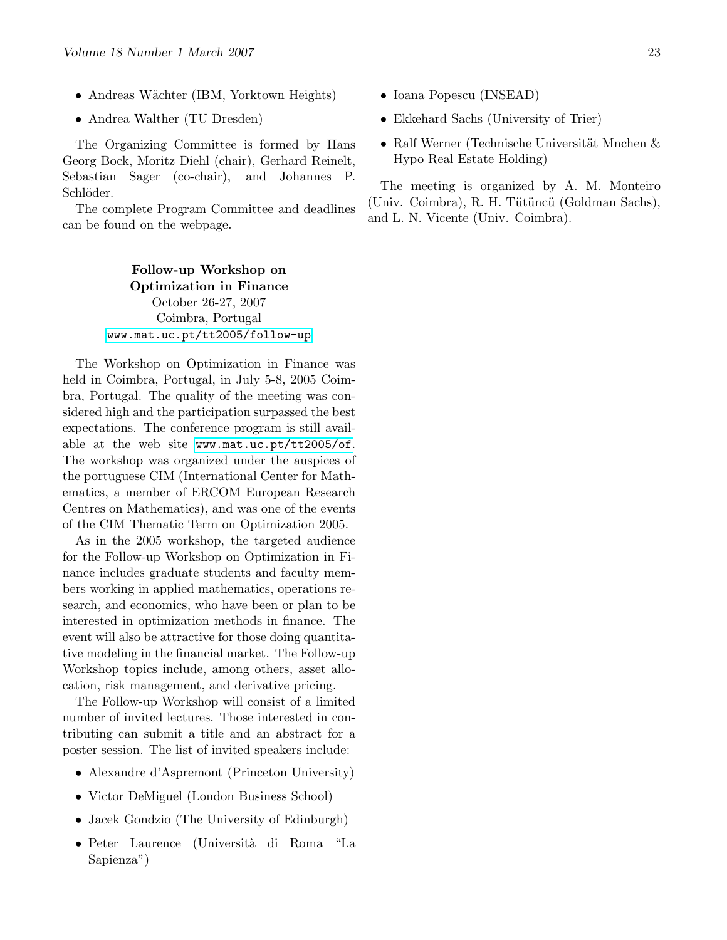- Andreas Wächter (IBM, Yorktown Heights)
- Andrea Walther (TU Dresden)

The Organizing Committee is formed by Hans Georg Bock, Moritz Diehl (chair), Gerhard Reinelt, Sebastian Sager (co-chair), and Johannes P. Schlöder.

The complete Program Committee and deadlines can be found on the webpage.

> Follow-up Workshop on Optimization in Finance October 26-27, 2007 Coimbra, Portugal [www.mat.uc.pt/tt2005/follow-up](http://www.mat.uc.pt/tt2005/follow-up)

The Workshop on Optimization in Finance was held in Coimbra, Portugal, in July 5-8, 2005 Coimbra, Portugal. The quality of the meeting was considered high and the participation surpassed the best expectations. The conference program is still available at the web site [www.mat.uc.pt/tt2005/of](http://www.mat.uc.pt/tt2005/of). The workshop was organized under the auspices of the portuguese CIM (International Center for Mathematics, a member of ERCOM European Research Centres on Mathematics), and was one of the events of the CIM Thematic Term on Optimization 2005.

As in the 2005 workshop, the targeted audience for the Follow-up Workshop on Optimization in Finance includes graduate students and faculty members working in applied mathematics, operations research, and economics, who have been or plan to be interested in optimization methods in finance. The event will also be attractive for those doing quantitative modeling in the financial market. The Follow-up Workshop topics include, among others, asset allocation, risk management, and derivative pricing.

The Follow-up Workshop will consist of a limited number of invited lectures. Those interested in contributing can submit a title and an abstract for a poster session. The list of invited speakers include:

- Alexandre d'Aspremont (Princeton University)
- Victor DeMiguel (London Business School)
- Jacek Gondzio (The University of Edinburgh)
- Peter Laurence (Universit`a di Roma "La Sapienza")
- Ioana Popescu (INSEAD)
- Ekkehard Sachs (University of Trier)
- Ralf Werner (Technische Universität Mnchen  $\&$ Hypo Real Estate Holding)

The meeting is organized by A. M. Monteiro (Univ. Coimbra), R. H. Tütüncü (Goldman Sachs), and L. N. Vicente (Univ. Coimbra).